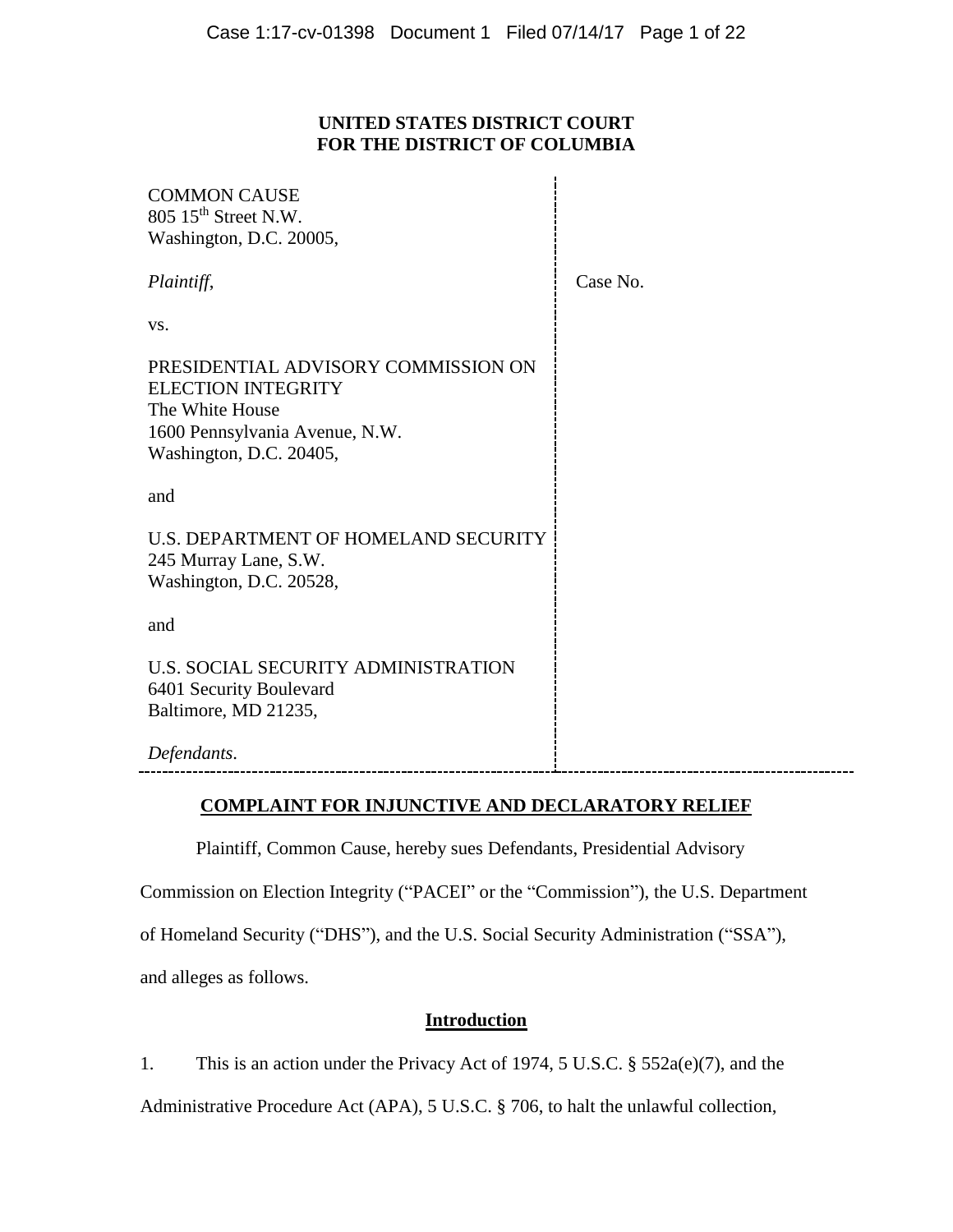## **UNITED STATES DISTRICT COURT FOR THE DISTRICT OF COLUMBIA**

| <b>COMMON CAUSE</b><br>805 15 <sup>th</sup> Street N.W.<br>Washington, D.C. 20005,                                                               |          |
|--------------------------------------------------------------------------------------------------------------------------------------------------|----------|
| Plaintiff,                                                                                                                                       | Case No. |
| VS.                                                                                                                                              |          |
| PRESIDENTIAL ADVISORY COMMISSION ON<br><b>ELECTION INTEGRITY</b><br>The White House<br>1600 Pennsylvania Avenue, N.W.<br>Washington, D.C. 20405, |          |
| and                                                                                                                                              |          |
| U.S. DEPARTMENT OF HOMELAND SECURITY<br>245 Murray Lane, S.W.<br>Washington, D.C. 20528,                                                         |          |
| and                                                                                                                                              |          |
| U.S. SOCIAL SECURITY ADMINISTRATION<br>6401 Security Boulevard<br>Baltimore, MD 21235,                                                           |          |
| Defendants.                                                                                                                                      |          |

## **COMPLAINT FOR INJUNCTIVE AND DECLARATORY RELIEF**

Plaintiff, Common Cause, hereby sues Defendants, Presidential Advisory

Commission on Election Integrity ("PACEI" or the "Commission"), the U.S. Department

of Homeland Security ("DHS"), and the U.S. Social Security Administration ("SSA"),

and alleges as follows.

# **Introduction**

1. This is an action under the Privacy Act of 1974, 5 U.S.C. § 552a(e)(7), and the

Administrative Procedure Act (APA), 5 U.S.C. § 706, to halt the unlawful collection,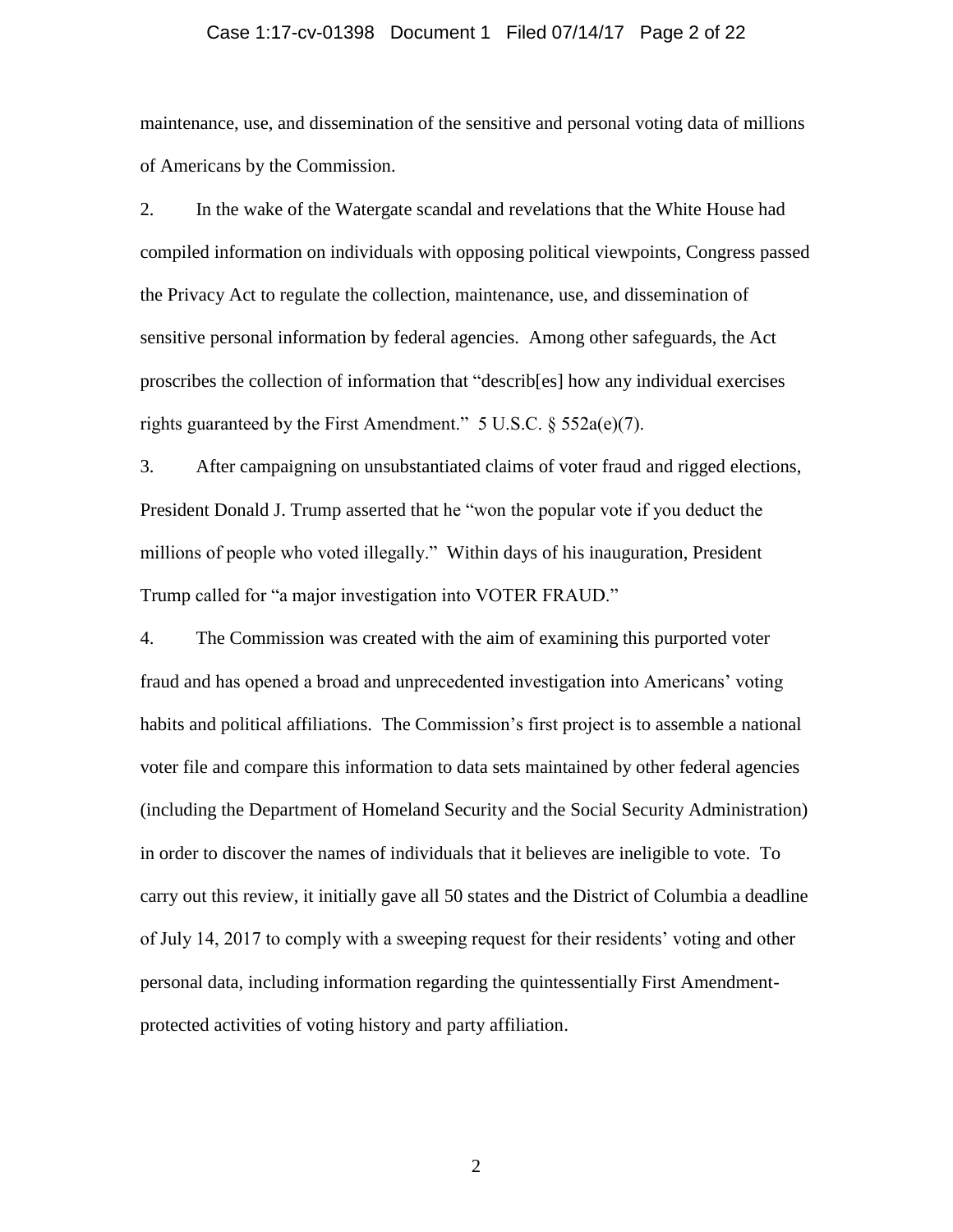#### Case 1:17-cv-01398 Document 1 Filed 07/14/17 Page 2 of 22

maintenance, use, and dissemination of the sensitive and personal voting data of millions of Americans by the Commission.

2. In the wake of the Watergate scandal and revelations that the White House had compiled information on individuals with opposing political viewpoints, Congress passed the Privacy Act to regulate the collection, maintenance, use, and dissemination of sensitive personal information by federal agencies. Among other safeguards, the Act proscribes the collection of information that "describ[es] how any individual exercises rights guaranteed by the First Amendment."  $5 \text{ U.S.C.} \$  $552a(e)(7)$ .

3. After campaigning on unsubstantiated claims of voter fraud and rigged elections, President Donald J. Trump asserted that he "won the popular vote if you deduct the millions of people who voted illegally." Within days of his inauguration, President Trump called for "a major investigation into VOTER FRAUD."

4. The Commission was created with the aim of examining this purported voter fraud and has opened a broad and unprecedented investigation into Americans' voting habits and political affiliations. The Commission's first project is to assemble a national voter file and compare this information to data sets maintained by other federal agencies (including the Department of Homeland Security and the Social Security Administration) in order to discover the names of individuals that it believes are ineligible to vote. To carry out this review, it initially gave all 50 states and the District of Columbia a deadline of July 14, 2017 to comply with a sweeping request for their residents' voting and other personal data, including information regarding the quintessentially First Amendmentprotected activities of voting history and party affiliation.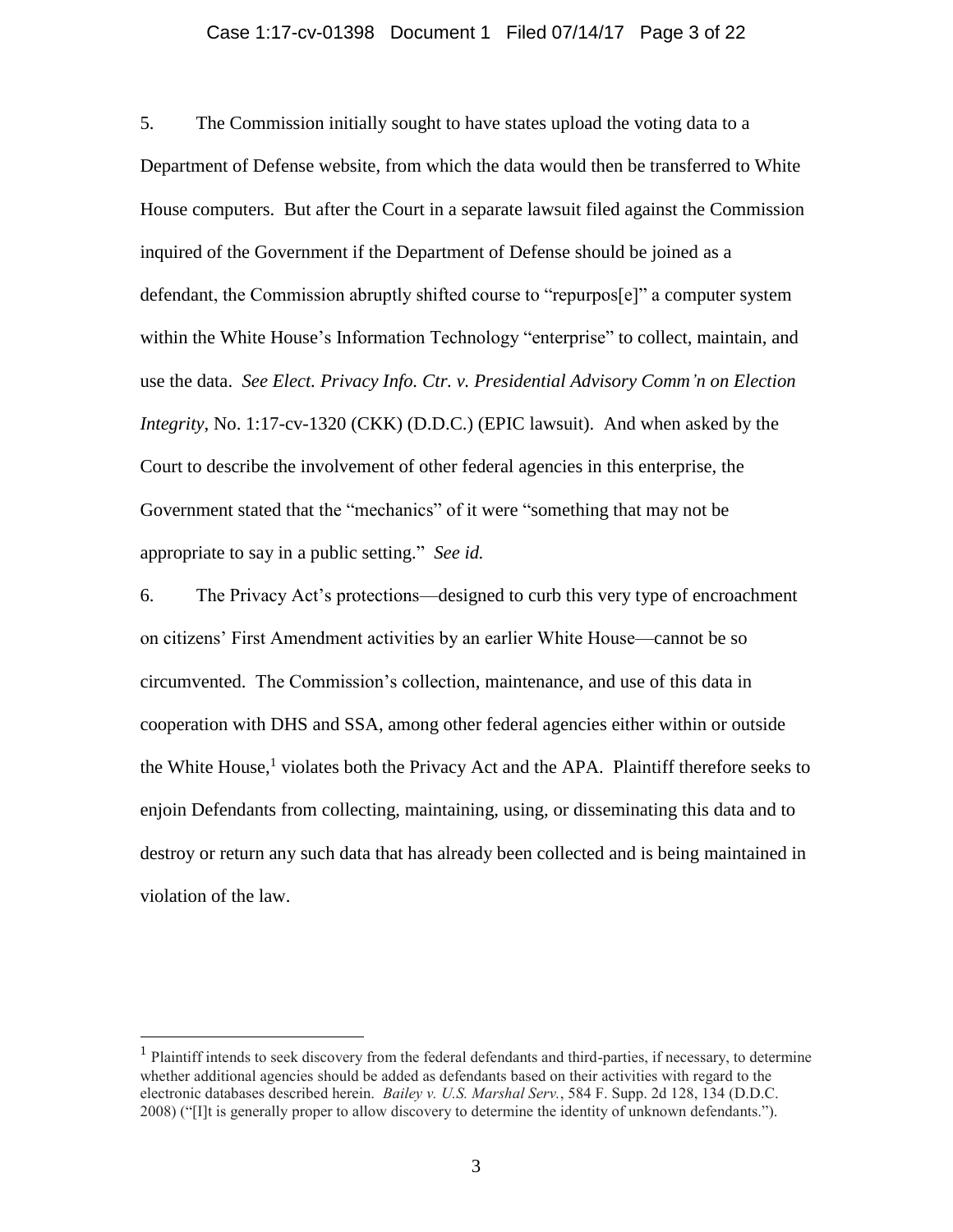#### Case 1:17-cv-01398 Document 1 Filed 07/14/17 Page 3 of 22

5. The Commission initially sought to have states upload the voting data to a Department of Defense website, from which the data would then be transferred to White House computers. But after the Court in a separate lawsuit filed against the Commission inquired of the Government if the Department of Defense should be joined as a defendant, the Commission abruptly shifted course to "repurpos[e]" a computer system within the White House's Information Technology "enterprise" to collect, maintain, and use the data. *See Elect. Privacy Info. Ctr. v. Presidential Advisory Comm'n on Election Integrity*, No. 1:17-cv-1320 (CKK) (D.D.C.) (EPIC lawsuit). And when asked by the Court to describe the involvement of other federal agencies in this enterprise, the Government stated that the "mechanics" of it were "something that may not be appropriate to say in a public setting." *See id.*

6. The Privacy Act's protections—designed to curb this very type of encroachment on citizens' First Amendment activities by an earlier White House—cannot be so circumvented. The Commission's collection, maintenance, and use of this data in cooperation with DHS and SSA, among other federal agencies either within or outside the White House,<sup>1</sup> violates both the Privacy Act and the APA. Plaintiff therefore seeks to enjoin Defendants from collecting, maintaining, using, or disseminating this data and to destroy or return any such data that has already been collected and is being maintained in violation of the law.

 $\overline{a}$ 

<sup>&</sup>lt;sup>1</sup> Plaintiff intends to seek discovery from the federal defendants and third-parties, if necessary, to determine whether additional agencies should be added as defendants based on their activities with regard to the electronic databases described herein. *Bailey v. U.S. Marshal Serv.*, 584 F. Supp. 2d 128, 134 (D.D.C. 2008) ("[I]t is generally proper to allow discovery to determine the identity of unknown defendants.").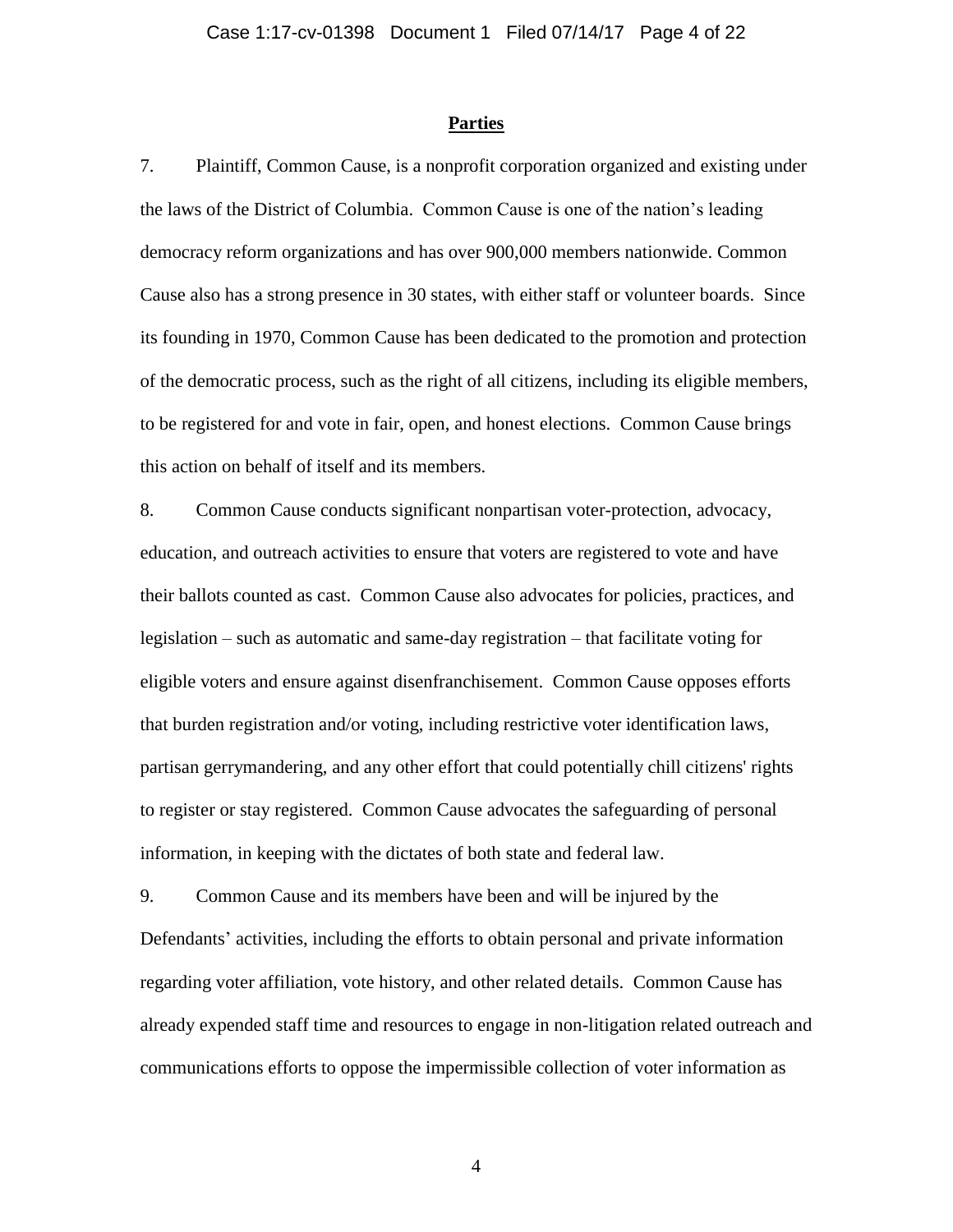#### **Parties**

7. Plaintiff, Common Cause, is a nonprofit corporation organized and existing under the laws of the District of Columbia. Common Cause is one of the nation's leading democracy reform organizations and has over 900,000 members nationwide. Common Cause also has a strong presence in 30 states, with either staff or volunteer boards. Since its founding in 1970, Common Cause has been dedicated to the promotion and protection of the democratic process, such as the right of all citizens, including its eligible members, to be registered for and vote in fair, open, and honest elections. Common Cause brings this action on behalf of itself and its members.

8. Common Cause conducts significant nonpartisan voter-protection, advocacy, education, and outreach activities to ensure that voters are registered to vote and have their ballots counted as cast. Common Cause also advocates for policies, practices, and legislation – such as automatic and same-day registration – that facilitate voting for eligible voters and ensure against disenfranchisement. Common Cause opposes efforts that burden registration and/or voting, including restrictive voter identification laws, partisan gerrymandering, and any other effort that could potentially chill citizens' rights to register or stay registered. Common Cause advocates the safeguarding of personal information, in keeping with the dictates of both state and federal law.

9. Common Cause and its members have been and will be injured by the Defendants' activities, including the efforts to obtain personal and private information regarding voter affiliation, vote history, and other related details. Common Cause has already expended staff time and resources to engage in non-litigation related outreach and communications efforts to oppose the impermissible collection of voter information as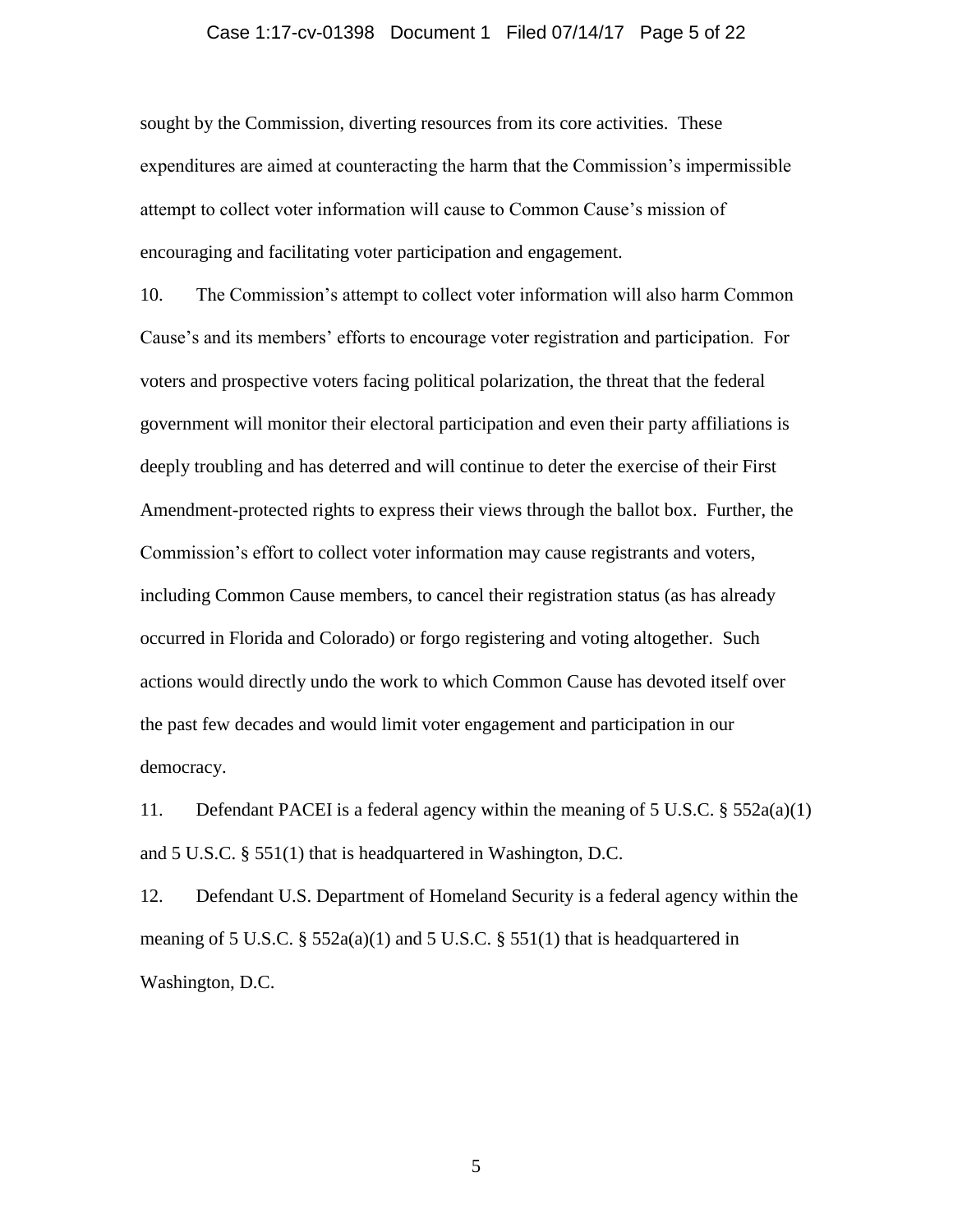## Case 1:17-cv-01398 Document 1 Filed 07/14/17 Page 5 of 22

sought by the Commission, diverting resources from its core activities. These expenditures are aimed at counteracting the harm that the Commission's impermissible attempt to collect voter information will cause to Common Cause's mission of encouraging and facilitating voter participation and engagement.

10. The Commission's attempt to collect voter information will also harm Common Cause's and its members' efforts to encourage voter registration and participation. For voters and prospective voters facing political polarization, the threat that the federal government will monitor their electoral participation and even their party affiliations is deeply troubling and has deterred and will continue to deter the exercise of their First Amendment-protected rights to express their views through the ballot box. Further, the Commission's effort to collect voter information may cause registrants and voters, including Common Cause members, to cancel their registration status (as has already occurred in Florida and Colorado) or forgo registering and voting altogether. Such actions would directly undo the work to which Common Cause has devoted itself over the past few decades and would limit voter engagement and participation in our democracy.

11. Defendant PACEI is a federal agency within the meaning of 5 U.S.C. § 552a(a)(1) and 5 U.S.C. § 551(1) that is headquartered in Washington, D.C.

12. Defendant U.S. Department of Homeland Security is a federal agency within the meaning of 5 U.S.C. § 552a(a)(1) and 5 U.S.C. § 551(1) that is headquartered in Washington, D.C.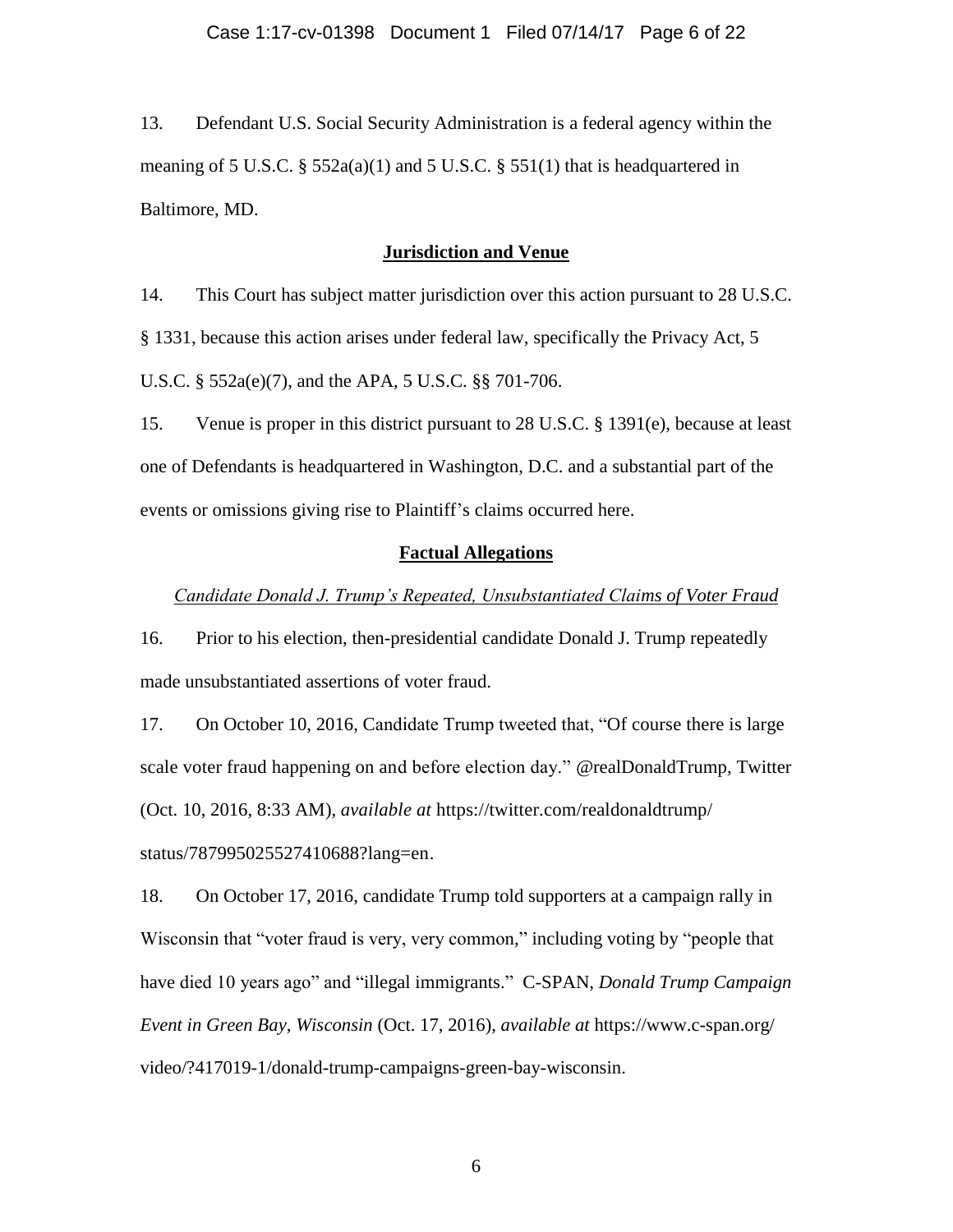13. Defendant U.S. Social Security Administration is a federal agency within the meaning of 5 U.S.C.  $\S$  552a(a)(1) and 5 U.S.C.  $\S$  551(1) that is headquartered in Baltimore, MD.

## **Jurisdiction and Venue**

14. This Court has subject matter jurisdiction over this action pursuant to 28 U.S.C. § 1331, because this action arises under federal law, specifically the Privacy Act, 5 U.S.C. § 552a(e)(7), and the APA, 5 U.S.C. §§ 701-706.

15. Venue is proper in this district pursuant to 28 U.S.C. § 1391(e), because at least one of Defendants is headquartered in Washington, D.C. and a substantial part of the events or omissions giving rise to Plaintiff's claims occurred here.

#### **Factual Allegations**

## *Candidate Donald J. Trump's Repeated, Unsubstantiated Claims of Voter Fraud*

16. Prior to his election, then-presidential candidate Donald J. Trump repeatedly made unsubstantiated assertions of voter fraud.

17. On October 10, 2016, Candidate Trump tweeted that, "Of course there is large scale voter fraud happening on and before election day." @realDonaldTrump, Twitter (Oct. 10, 2016, 8:33 AM), *available at* https://twitter.com/realdonaldtrump/ status/787995025527410688?lang=en.

18. On October 17, 2016, candidate Trump told supporters at a campaign rally in Wisconsin that "voter fraud is very, very common," including voting by "people that have died 10 years ago" and "illegal immigrants." C-SPAN, *Donald Trump Campaign Event in Green Bay, Wisconsin* (Oct. 17, 2016), *available at* https://www.c-span.org/ video/?417019-1/donald-trump-campaigns-green-bay-wisconsin.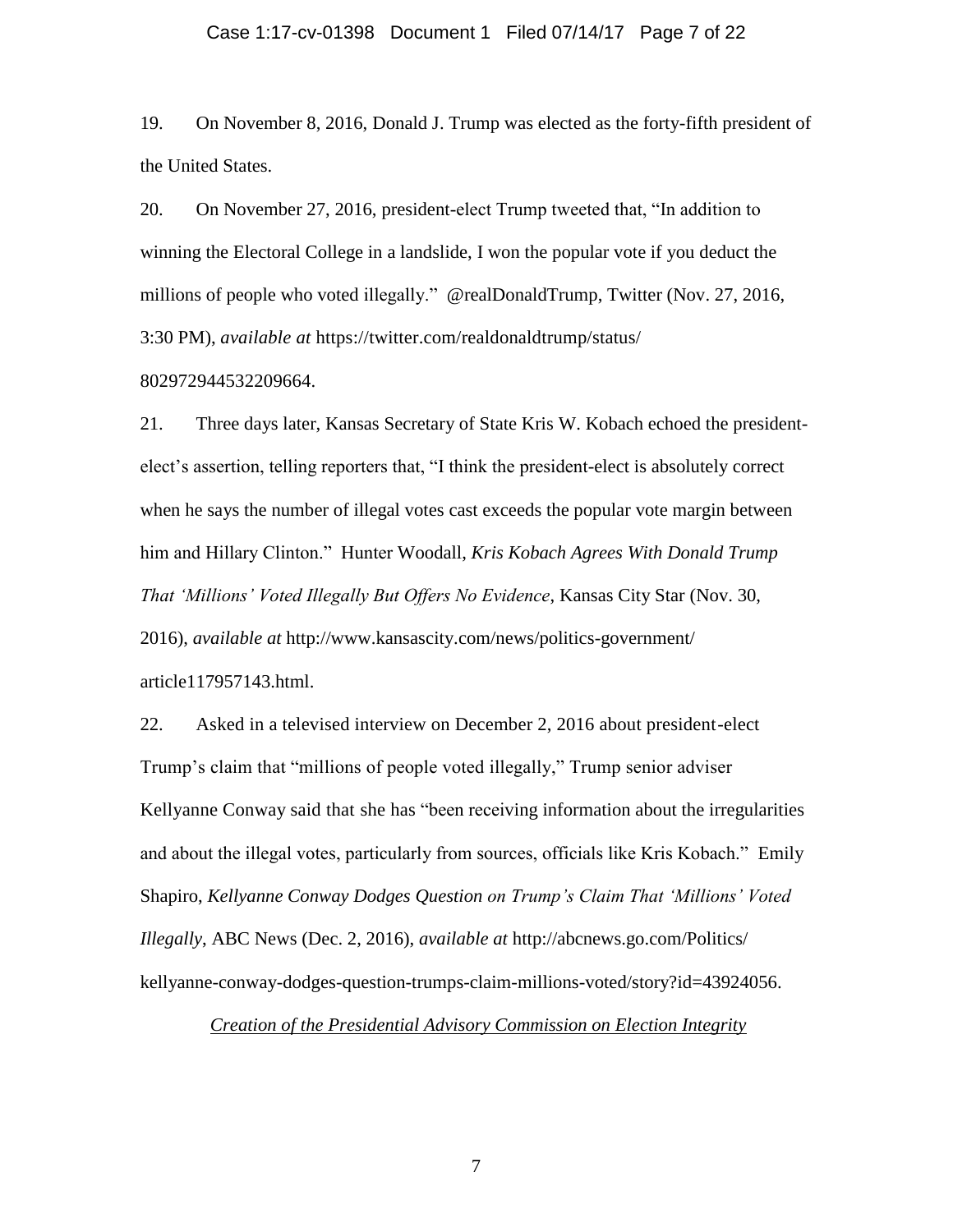#### Case 1:17-cv-01398 Document 1 Filed 07/14/17 Page 7 of 22

19. On November 8, 2016, Donald J. Trump was elected as the forty-fifth president of the United States.

20. On November 27, 2016, president-elect Trump tweeted that, "In addition to winning the Electoral College in a landslide, I won the popular vote if you deduct the millions of people who voted illegally." @realDonaldTrump, Twitter (Nov. 27, 2016, 3:30 PM), *available at* https://twitter.com/realdonaldtrump/status/

#### 802972944532209664.

21. Three days later, Kansas Secretary of State Kris W. Kobach echoed the presidentelect's assertion, telling reporters that, "I think the president-elect is absolutely correct when he says the number of illegal votes cast exceeds the popular vote margin between him and Hillary Clinton." Hunter Woodall, *Kris Kobach Agrees With Donald Trump That 'Millions' Voted Illegally But Offers No Evidence*, Kansas City Star (Nov. 30, 2016), *available at* http://www.kansascity.com/news/politics-government/ article117957143.html.

22. Asked in a televised interview on December 2, 2016 about president-elect Trump's claim that "millions of people voted illegally," Trump senior adviser Kellyanne Conway said that she has "been receiving information about the irregularities and about the illegal votes, particularly from sources, officials like Kris Kobach." Emily Shapiro, *Kellyanne Conway Dodges Question on Trump's Claim That 'Millions' Voted Illegally*, ABC News (Dec. 2, 2016), *available at* http://abcnews.go.com/Politics/ kellyanne-conway-dodges-question-trumps-claim-millions-voted/story?id=43924056.

## *Creation of the Presidential Advisory Commission on Election Integrity*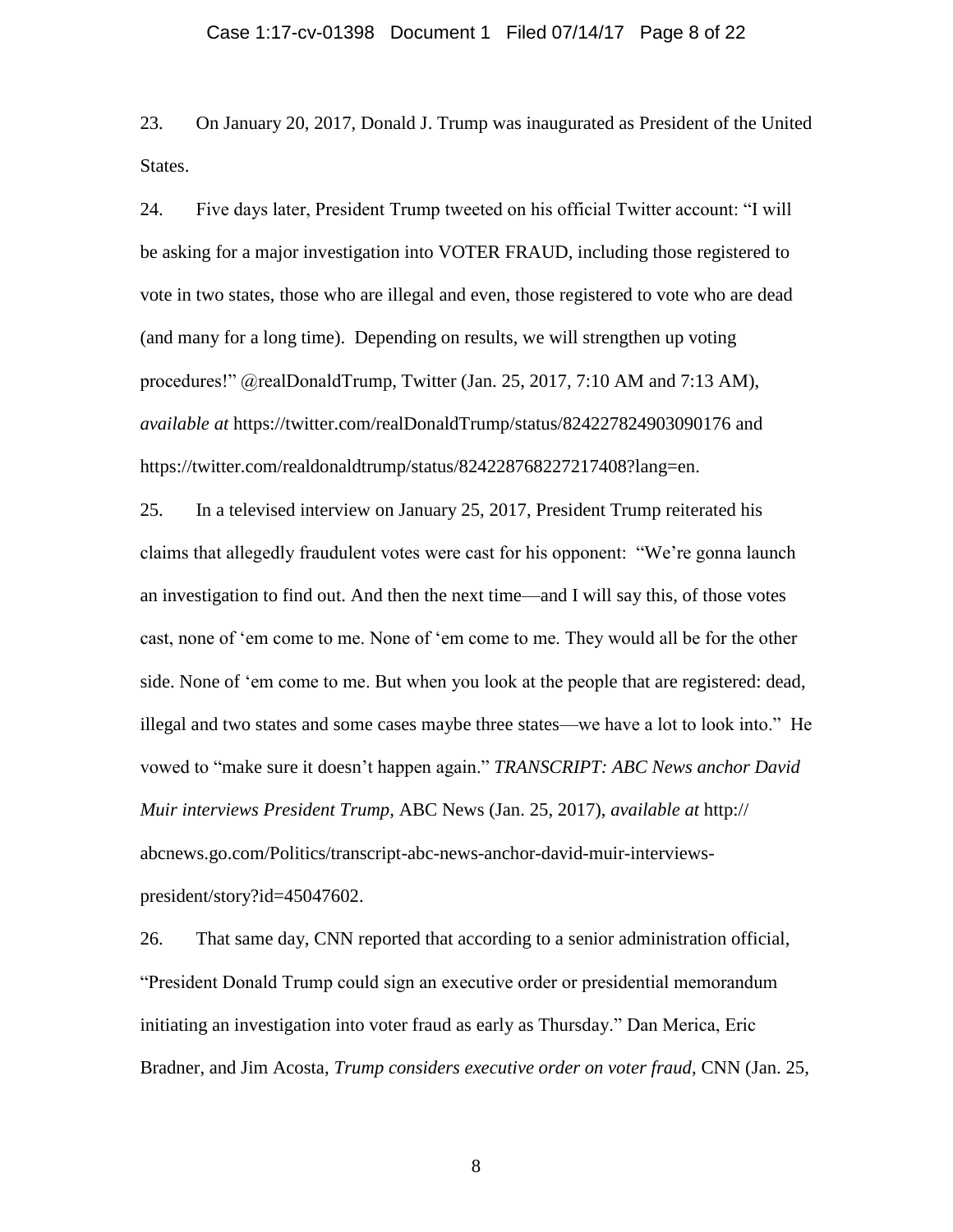23. On January 20, 2017, Donald J. Trump was inaugurated as President of the United States.

24. Five days later, President Trump tweeted on his official Twitter account: "I will be asking for a major investigation into VOTER FRAUD, including those registered to vote in two states, those who are illegal and even, those registered to vote who are dead (and many for a long time). Depending on results, we will strengthen up voting procedures!" @realDonaldTrump, Twitter (Jan. 25, 2017, 7:10 AM and 7:13 AM), *available at* https://twitter.com/realDonaldTrump/status/824227824903090176 and https://twitter.com/realdonaldtrump/status/824228768227217408?lang=en.

25. In a televised interview on January 25, 2017, President Trump reiterated his claims that allegedly fraudulent votes were cast for his opponent: "We're gonna launch an investigation to find out. And then the next time—and I will say this, of those votes cast, none of 'em come to me. None of 'em come to me. They would all be for the other side. None of 'em come to me. But when you look at the people that are registered: dead, illegal and two states and some cases maybe three states—we have a lot to look into." He vowed to "make sure it doesn't happen again." *TRANSCRIPT: ABC News anchor David Muir interviews President Trump,* ABC News (Jan. 25, 2017), *available at* http:// abcnews.go.com/Politics/transcript-abc-news-anchor-david-muir-interviewspresident/story?id=45047602.

26. That same day, CNN reported that according to a senior administration official, "President Donald Trump could sign an executive order or presidential memorandum initiating an investigation into voter fraud as early as Thursday." Dan Merica, Eric Bradner, and Jim Acosta, *Trump considers executive order on voter fraud*, CNN (Jan. 25,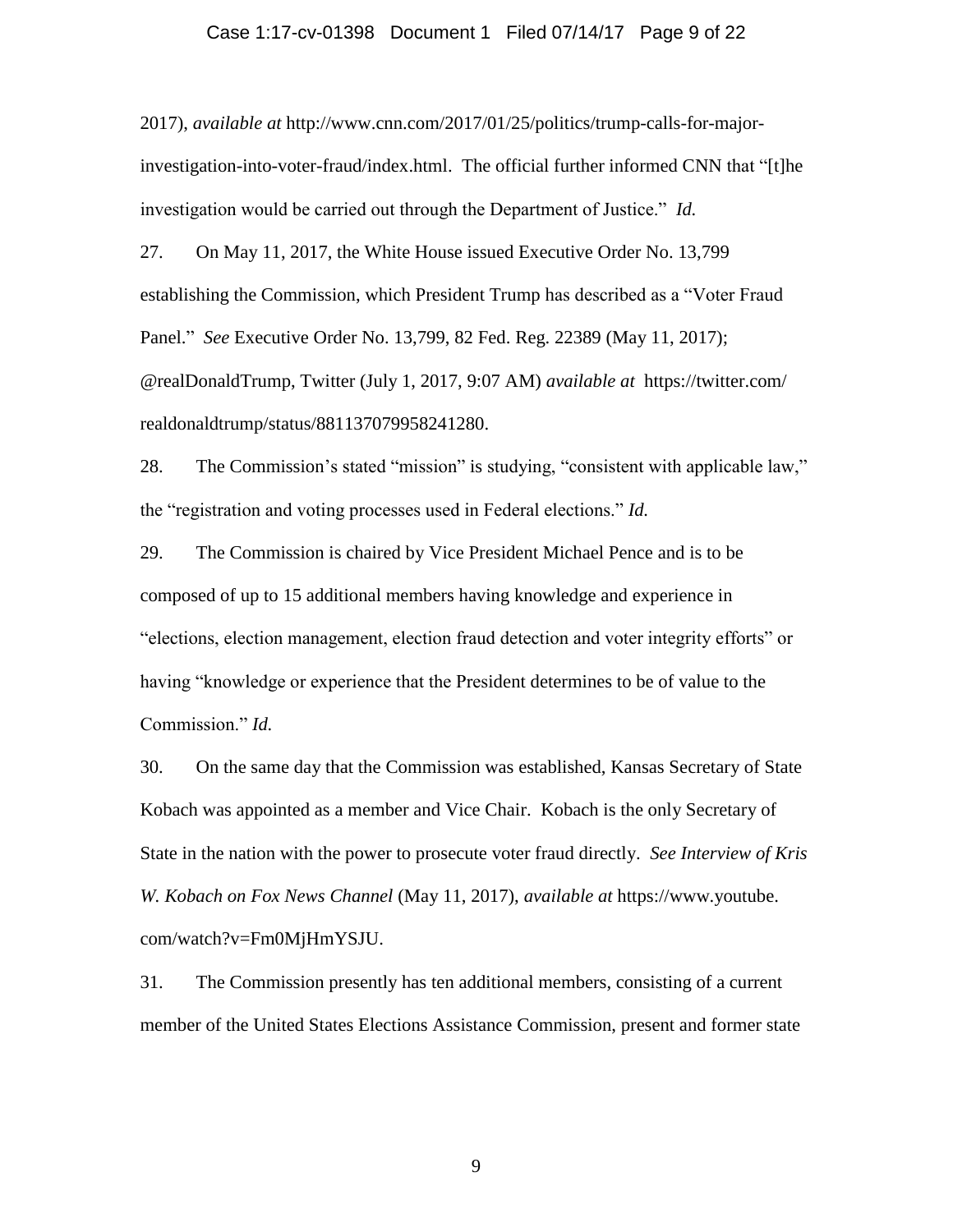## Case 1:17-cv-01398 Document 1 Filed 07/14/17 Page 9 of 22

2017), *available at* http://www.cnn.com/2017/01/25/politics/trump-calls-for-majorinvestigation-into-voter-fraud/index.html. The official further informed CNN that "[t]he investigation would be carried out through the Department of Justice." *Id.*

27. On May 11, 2017, the White House issued Executive Order No. 13,799 establishing the Commission, which President Trump has described as a "Voter Fraud Panel." *See* Executive Order No. 13,799, 82 Fed. Reg. 22389 (May 11, 2017); @realDonaldTrump, Twitter (July 1, 2017, 9:07 AM) *available at* https://twitter.com/ realdonaldtrump/status/881137079958241280.

28. The Commission's stated "mission" is studying, "consistent with applicable law," the "registration and voting processes used in Federal elections." *Id.*

29. The Commission is chaired by Vice President Michael Pence and is to be composed of up to 15 additional members having knowledge and experience in "elections, election management, election fraud detection and voter integrity efforts" or having "knowledge or experience that the President determines to be of value to the Commission." *Id.*

30. On the same day that the Commission was established, Kansas Secretary of State Kobach was appointed as a member and Vice Chair. Kobach is the only Secretary of State in the nation with the power to prosecute voter fraud directly. *See Interview of Kris W. Kobach on Fox News Channel* (May 11, 2017), *available at* https://www.youtube. com/watch?v=Fm0MjHmYSJU.

31. The Commission presently has ten additional members, consisting of a current member of the United States Elections Assistance Commission, present and former state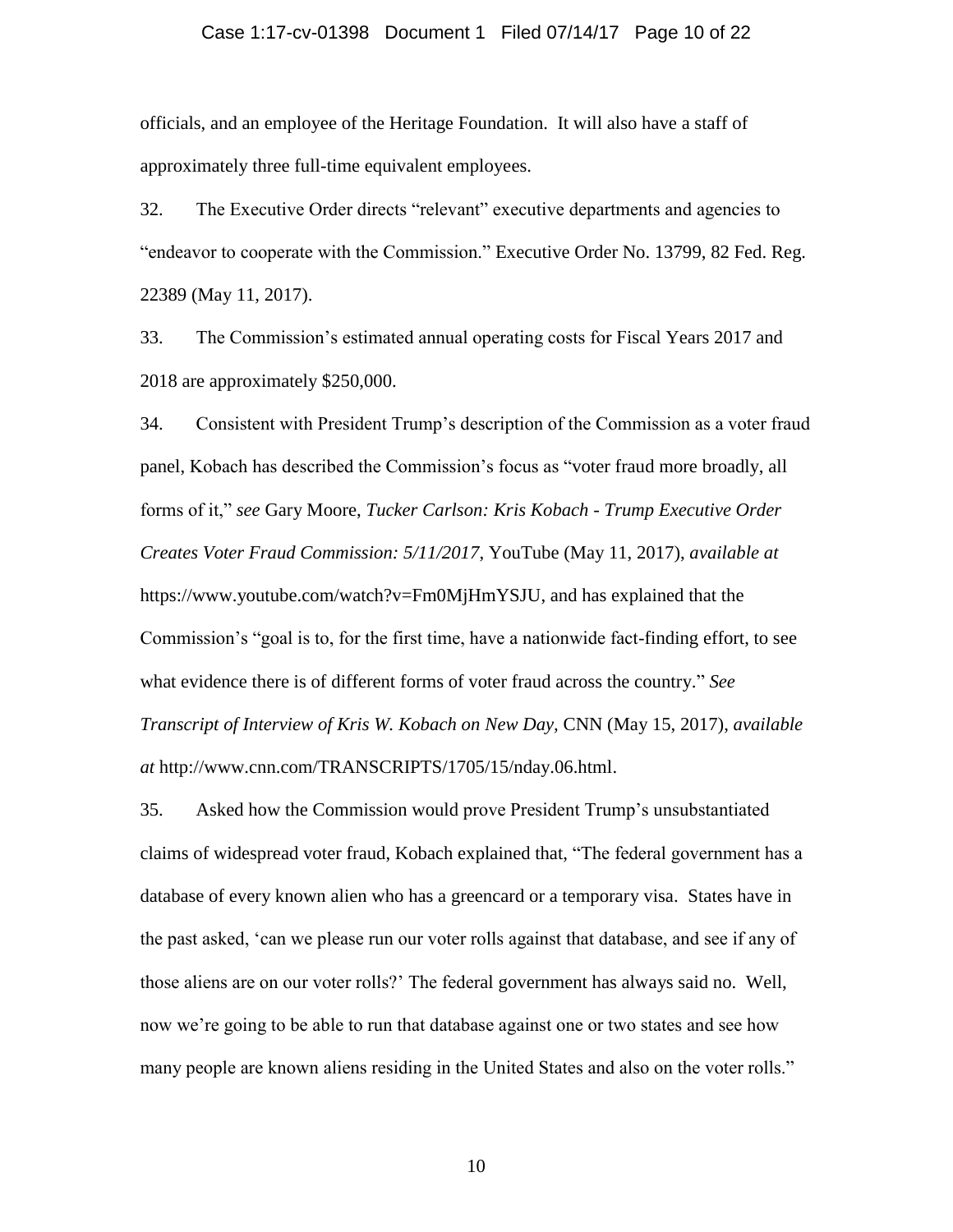## Case 1:17-cv-01398 Document 1 Filed 07/14/17 Page 10 of 22

officials, and an employee of the Heritage Foundation. It will also have a staff of approximately three full-time equivalent employees.

32. The Executive Order directs "relevant" executive departments and agencies to "endeavor to cooperate with the Commission." Executive Order No. 13799, 82 Fed. Reg. 22389 (May 11, 2017).

33. The Commission's estimated annual operating costs for Fiscal Years 2017 and 2018 are approximately \$250,000.

34. Consistent with President Trump's description of the Commission as a voter fraud panel, Kobach has described the Commission's focus as "voter fraud more broadly, all forms of it," *see* Gary Moore, *Tucker Carlson: Kris Kobach - Trump Executive Order Creates Voter Fraud Commission: 5/11/2017*, YouTube (May 11, 2017), *available at* https://www.youtube.com/watch?v=Fm0MjHmYSJU, and has explained that the Commission's "goal is to, for the first time, have a nationwide fact-finding effort, to see what evidence there is of different forms of voter fraud across the country." *See Transcript of Interview of Kris W. Kobach on New Day, CNN (May 15, 2017), <i>available at* http://www.cnn.com/TRANSCRIPTS/1705/15/nday.06.html.

35. Asked how the Commission would prove President Trump's unsubstantiated claims of widespread voter fraud, Kobach explained that, "The federal government has a database of every known alien who has a greencard or a temporary visa. States have in the past asked, 'can we please run our voter rolls against that database, and see if any of those aliens are on our voter rolls?' The federal government has always said no. Well, now we're going to be able to run that database against one or two states and see how many people are known aliens residing in the United States and also on the voter rolls."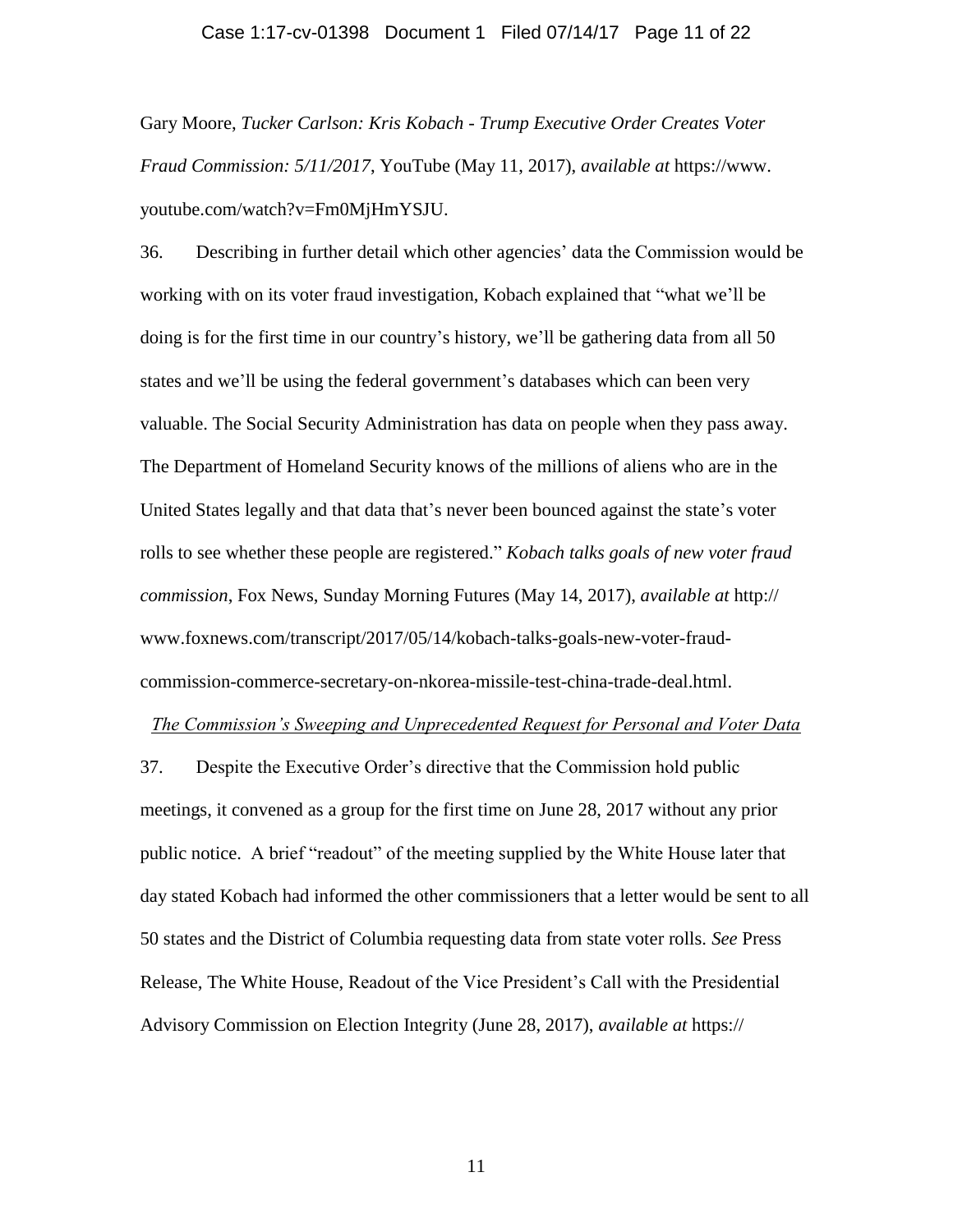## Case 1:17-cv-01398 Document 1 Filed 07/14/17 Page 11 of 22

Gary Moore, *Tucker Carlson: Kris Kobach - Trump Executive Order Creates Voter Fraud Commission: 5/11/2017*, YouTube (May 11, 2017), *available at* https://www. youtube.com/watch?v=Fm0MjHmYSJU.

36. Describing in further detail which other agencies' data the Commission would be working with on its voter fraud investigation, Kobach explained that "what we'll be doing is for the first time in our country's history, we'll be gathering data from all 50 states and we'll be using the federal government's databases which can been very valuable. The Social Security Administration has data on people when they pass away. The Department of Homeland Security knows of the millions of aliens who are in the United States legally and that data that's never been bounced against the state's voter rolls to see whether these people are registered." *Kobach talks goals of new voter fraud commission*, Fox News, Sunday Morning Futures (May 14, 2017), *available at* http:// www.foxnews.com/transcript/2017/05/14/kobach-talks-goals-new-voter-fraudcommission-commerce-secretary-on-nkorea-missile-test-china-trade-deal.html.

#### *The Commission's Sweeping and Unprecedented Request for Personal and Voter Data*

37. Despite the Executive Order's directive that the Commission hold public meetings, it convened as a group for the first time on June 28, 2017 without any prior public notice. A brief "readout" of the meeting supplied by the White House later that day stated Kobach had informed the other commissioners that a letter would be sent to all 50 states and the District of Columbia requesting data from state voter rolls. *See* Press Release, The White House, Readout of the Vice President's Call with the Presidential Advisory Commission on Election Integrity (June 28, 2017), *available at* https://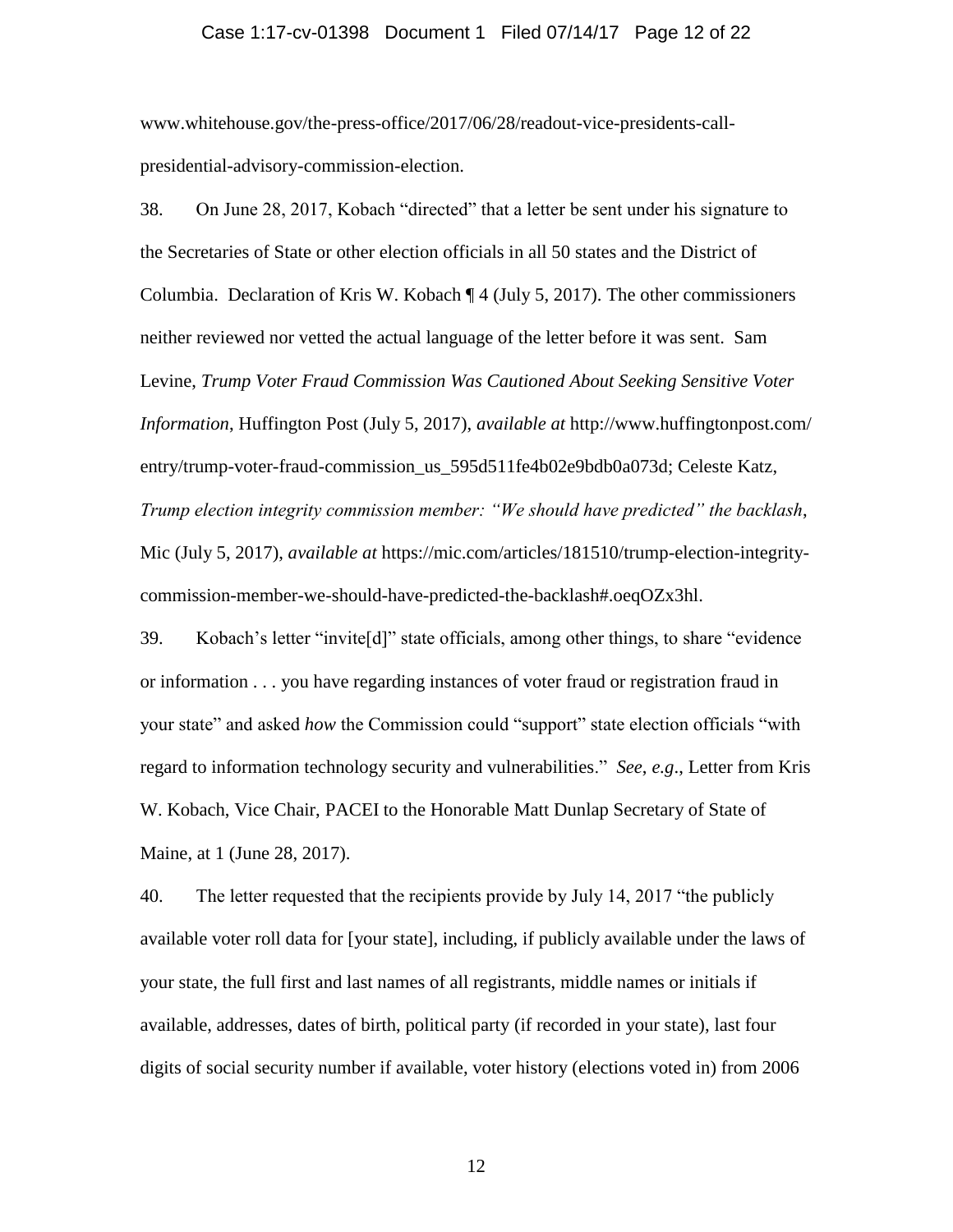#### Case 1:17-cv-01398 Document 1 Filed 07/14/17 Page 12 of 22

www.whitehouse.gov/the-press-office/2017/06/28/readout-vice-presidents-callpresidential-advisory-commission-election.

38. On June 28, 2017, Kobach "directed" that a letter be sent under his signature to the Secretaries of State or other election officials in all 50 states and the District of Columbia. Declaration of Kris W. Kobach ¶ 4 (July 5, 2017). The other commissioners neither reviewed nor vetted the actual language of the letter before it was sent. Sam Levine, *Trump Voter Fraud Commission Was Cautioned About Seeking Sensitive Voter Information*, Huffington Post (July 5, 2017), *available at* http://www.huffingtonpost.com/ entry/trump-voter-fraud-commission\_us\_595d511fe4b02e9bdb0a073d; Celeste Katz, *Trump election integrity commission member: "We should have predicted" the backlash*, Mic (July 5, 2017), *available at* https://mic.com/articles/181510/trump-election-integritycommission-member-we-should-have-predicted-the-backlash#.oeqOZx3hl.

39. Kobach's letter "invite[d]" state officials, among other things, to share "evidence or information . . . you have regarding instances of voter fraud or registration fraud in your state" and asked *how* the Commission could "support" state election officials "with regard to information technology security and vulnerabilities." *See*, *e.g*., Letter from Kris W. Kobach, Vice Chair, PACEI to the Honorable Matt Dunlap Secretary of State of Maine, at 1 (June 28, 2017).

40. The letter requested that the recipients provide by July 14, 2017 "the publicly available voter roll data for [your state], including, if publicly available under the laws of your state, the full first and last names of all registrants, middle names or initials if available, addresses, dates of birth, political party (if recorded in your state), last four digits of social security number if available, voter history (elections voted in) from 2006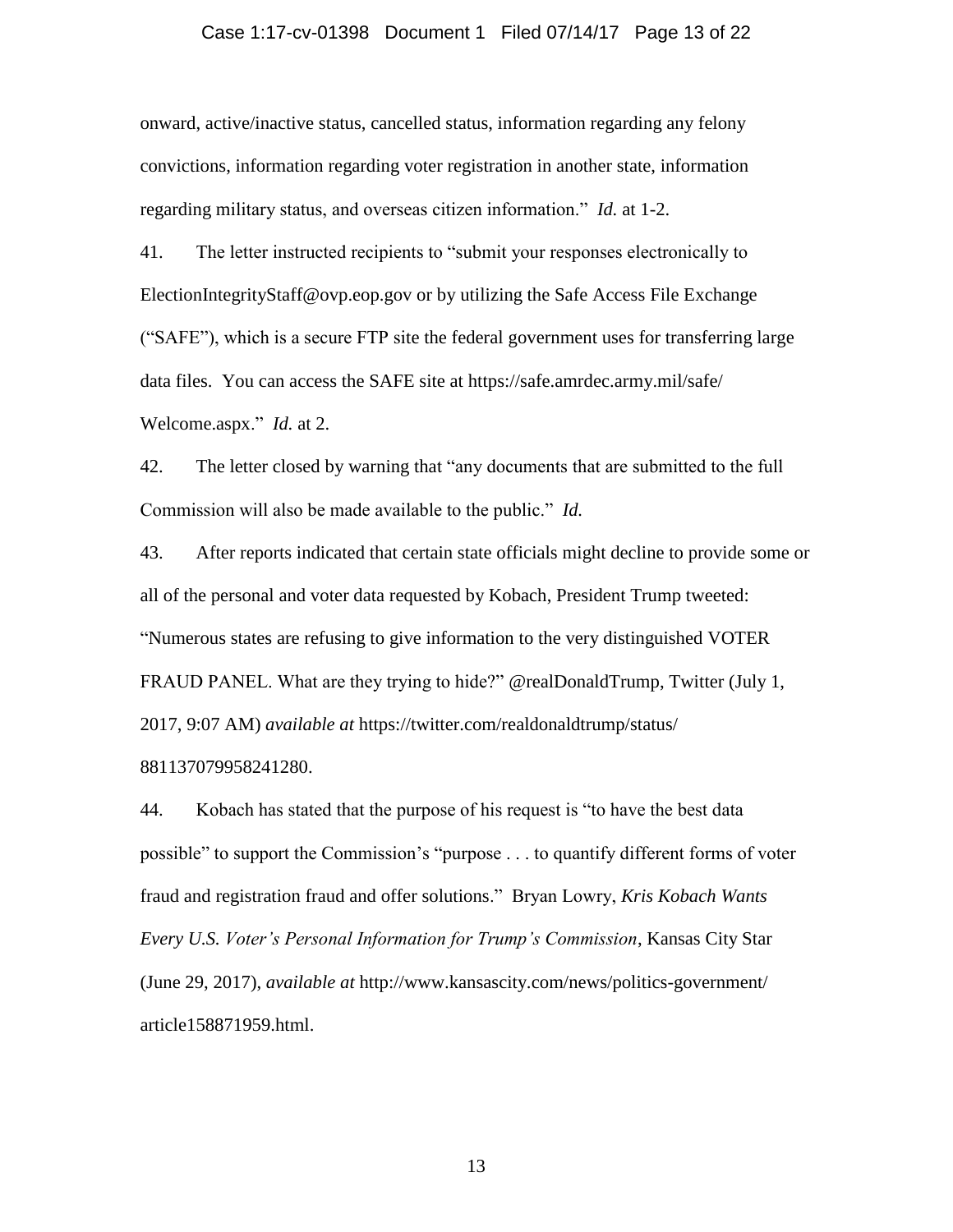## Case 1:17-cv-01398 Document 1 Filed 07/14/17 Page 13 of 22

onward, active/inactive status, cancelled status, information regarding any felony convictions, information regarding voter registration in another state, information regarding military status, and overseas citizen information." *Id.* at 1-2.

41. The letter instructed recipients to "submit your responses electronically to ElectionIntegrityStaff@ovp.eop.gov or by utilizing the Safe Access File Exchange ("SAFE"), which is a secure FTP site the federal government uses for transferring large data files. You can access the SAFE site at https://safe.amrdec.army.mil/safe/ Welcome.aspx." *Id.* at 2.

42. The letter closed by warning that "any documents that are submitted to the full Commission will also be made available to the public." *Id.*

43. After reports indicated that certain state officials might decline to provide some or all of the personal and voter data requested by Kobach, President Trump tweeted: "Numerous states are refusing to give information to the very distinguished VOTER FRAUD PANEL. What are they trying to hide?" @realDonaldTrump, Twitter (July 1, 2017, 9:07 AM) *available at* https://twitter.com/realdonaldtrump/status/

881137079958241280.

44. Kobach has stated that the purpose of his request is "to have the best data possible" to support the Commission's "purpose . . . to quantify different forms of voter fraud and registration fraud and offer solutions." Bryan Lowry, *Kris Kobach Wants Every U.S. Voter's Personal Information for Trump's Commission*, Kansas City Star (June 29, 2017), *available at* http://www.kansascity.com/news/politics-government/ article158871959.html.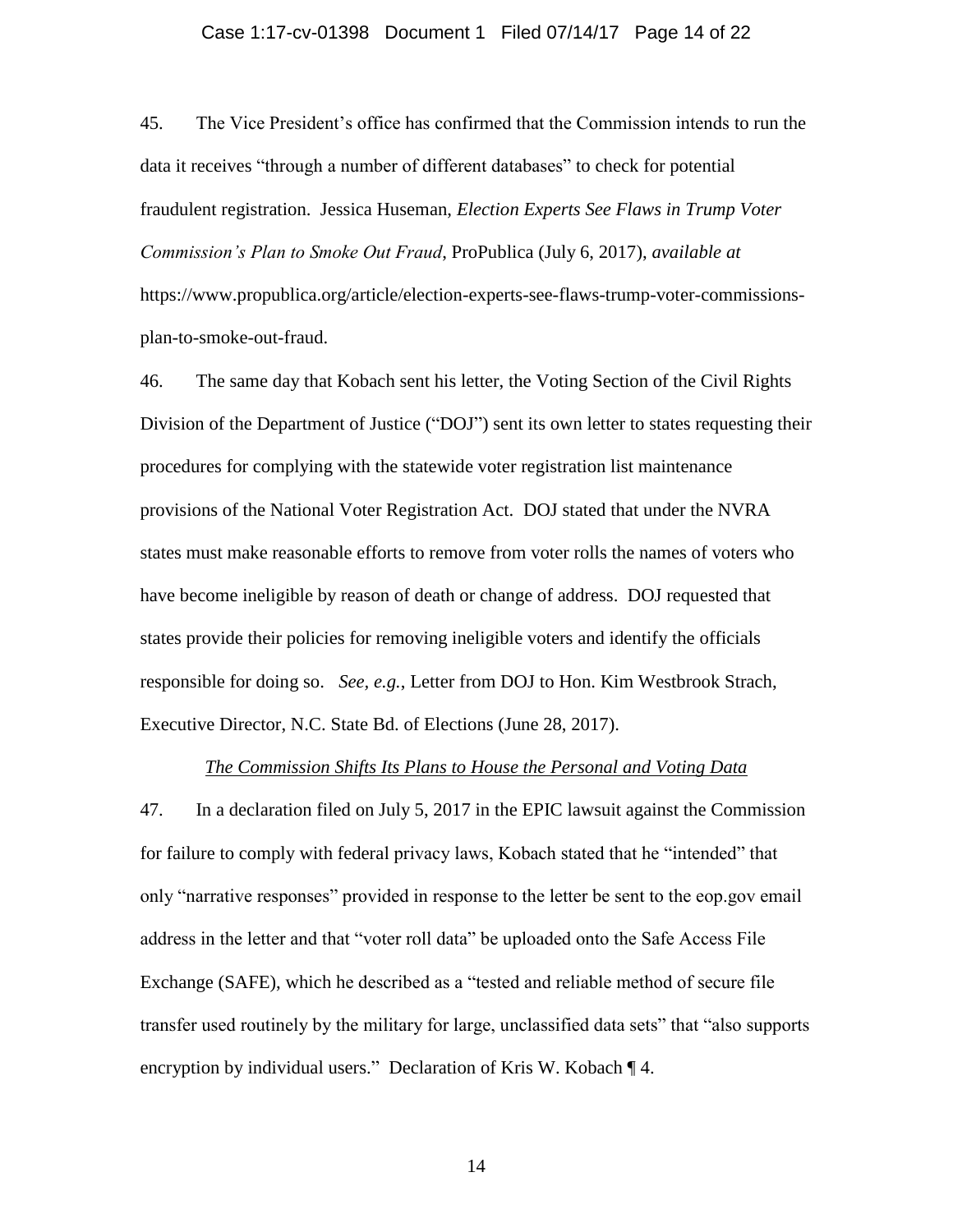## Case 1:17-cv-01398 Document 1 Filed 07/14/17 Page 14 of 22

45. The Vice President's office has confirmed that the Commission intends to run the data it receives "through a number of different databases" to check for potential fraudulent registration. Jessica Huseman, *Election Experts See Flaws in Trump Voter Commission's Plan to Smoke Out Fraud*, ProPublica (July 6, 2017), *available at* https://www.propublica.org/article/election-experts-see-flaws-trump-voter-commissionsplan-to-smoke-out-fraud.

46. The same day that Kobach sent his letter, the Voting Section of the Civil Rights Division of the Department of Justice ("DOJ") sent its own letter to states requesting their procedures for complying with the statewide voter registration list maintenance provisions of the National Voter Registration Act. DOJ stated that under the NVRA states must make reasonable efforts to remove from voter rolls the names of voters who have become ineligible by reason of death or change of address. DOJ requested that states provide their policies for removing ineligible voters and identify the officials responsible for doing so. *See, e.g.*, Letter from DOJ to Hon. Kim Westbrook Strach, Executive Director, N.C. State Bd. of Elections (June 28, 2017).

#### *The Commission Shifts Its Plans to House the Personal and Voting Data*

47. In a declaration filed on July 5, 2017 in the EPIC lawsuit against the Commission for failure to comply with federal privacy laws, Kobach stated that he "intended" that only "narrative responses" provided in response to the letter be sent to the eop.gov email address in the letter and that "voter roll data" be uploaded onto the Safe Access File Exchange (SAFE), which he described as a "tested and reliable method of secure file transfer used routinely by the military for large, unclassified data sets" that "also supports encryption by individual users." Declaration of Kris W. Kobach ¶ 4.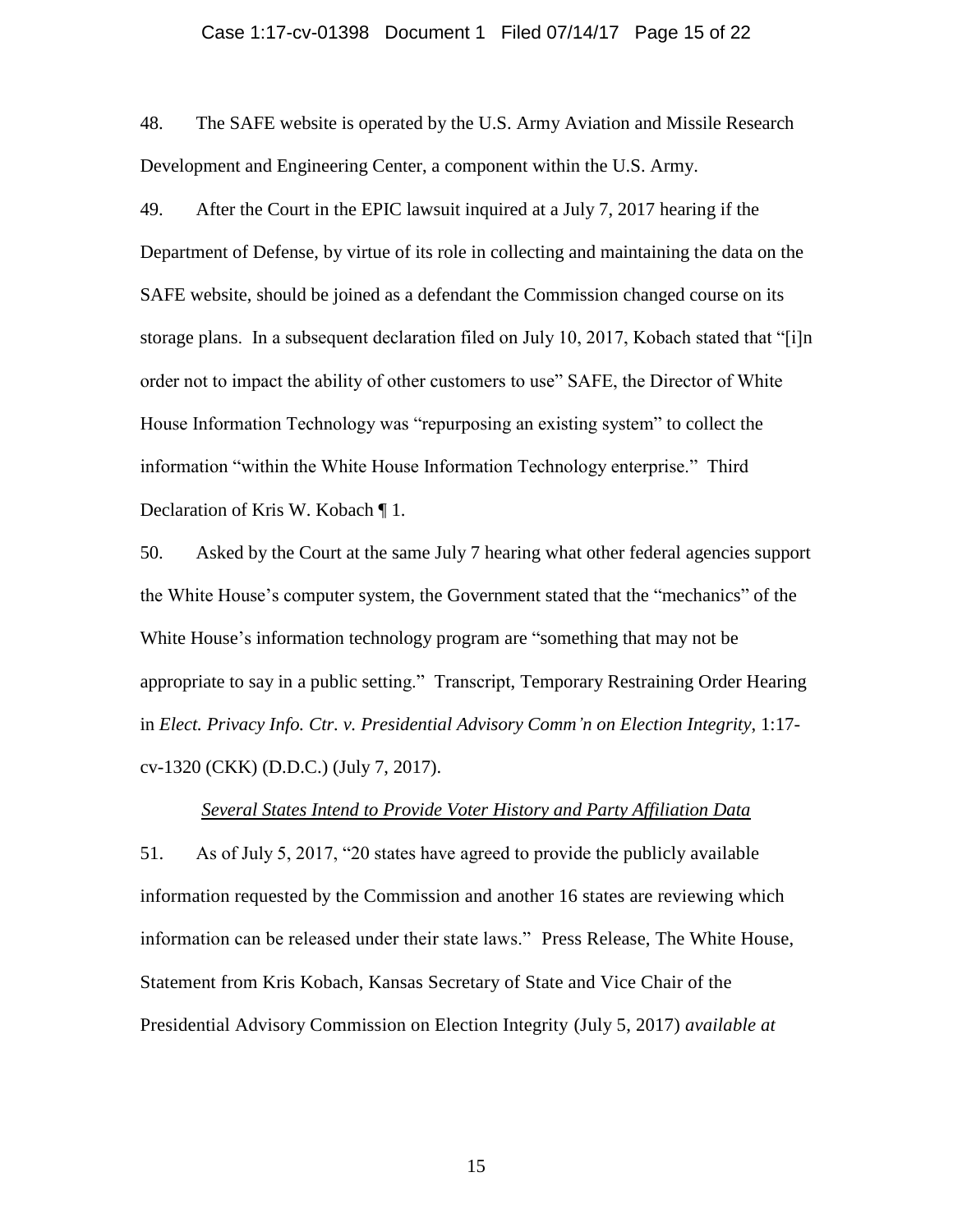## Case 1:17-cv-01398 Document 1 Filed 07/14/17 Page 15 of 22

48. The SAFE website is operated by the U.S. Army Aviation and Missile Research Development and Engineering Center, a component within the U.S. Army.

49. After the Court in the EPIC lawsuit inquired at a July 7, 2017 hearing if the Department of Defense, by virtue of its role in collecting and maintaining the data on the SAFE website, should be joined as a defendant the Commission changed course on its storage plans. In a subsequent declaration filed on July 10, 2017, Kobach stated that "[i]n order not to impact the ability of other customers to use" SAFE, the Director of White House Information Technology was "repurposing an existing system" to collect the information "within the White House Information Technology enterprise." Third Declaration of Kris W. Kobach ¶ 1.

50. Asked by the Court at the same July 7 hearing what other federal agencies support the White House's computer system, the Government stated that the "mechanics" of the White House's information technology program are "something that may not be appropriate to say in a public setting." Transcript, Temporary Restraining Order Hearing in *Elect. Privacy Info. Ctr. v. Presidential Advisory Comm'n on Election Integrity*, 1:17 cv-1320 (CKK) (D.D.C.) (July 7, 2017).

#### *Several States Intend to Provide Voter History and Party Affiliation Data*

51. As of July 5, 2017, "20 states have agreed to provide the publicly available information requested by the Commission and another 16 states are reviewing which information can be released under their state laws." Press Release, The White House, Statement from Kris Kobach, Kansas Secretary of State and Vice Chair of the Presidential Advisory Commission on Election Integrity (July 5, 2017) *available at*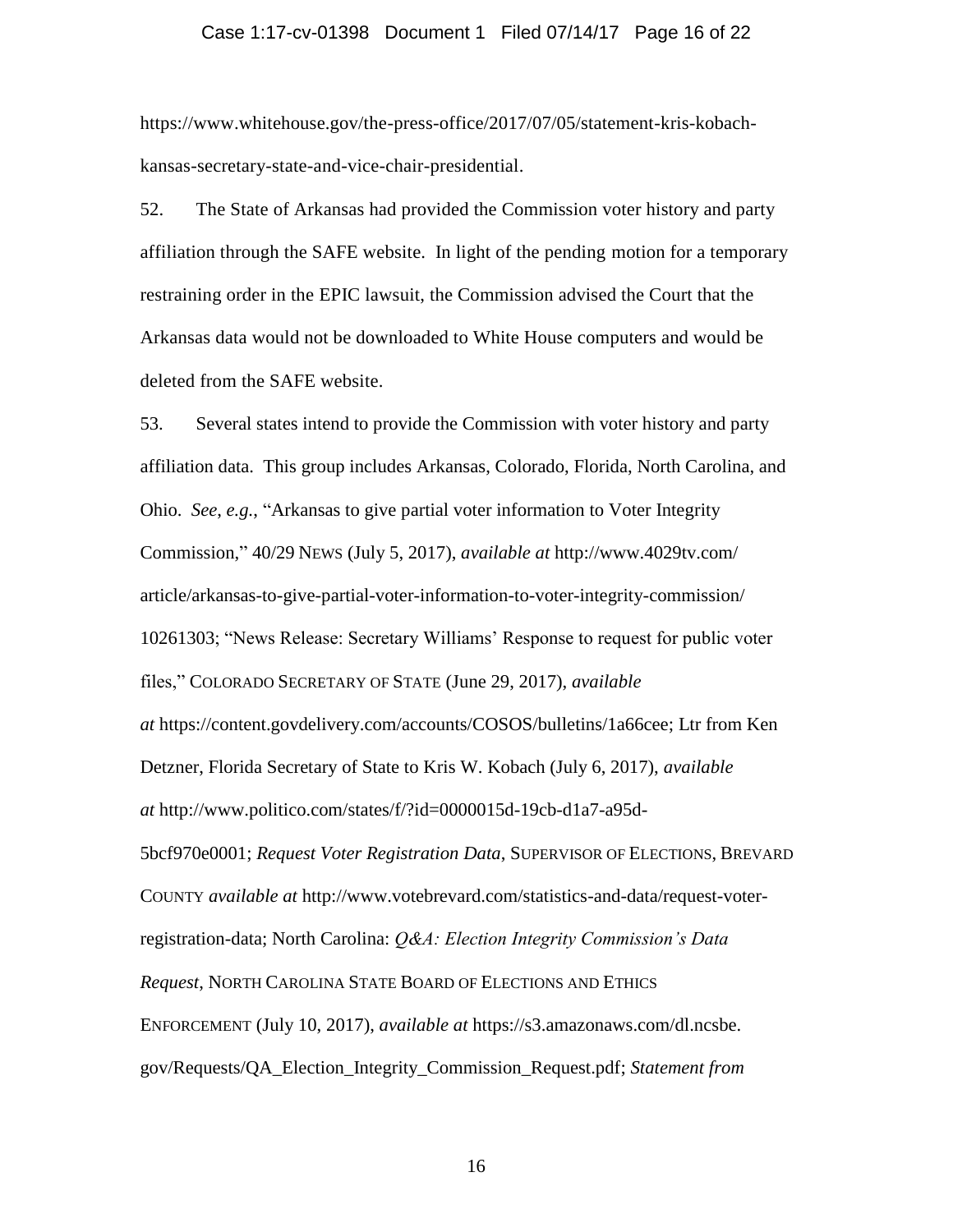## Case 1:17-cv-01398 Document 1 Filed 07/14/17 Page 16 of 22

https://www.whitehouse.gov/the-press-office/2017/07/05/statement-kris-kobachkansas-secretary-state-and-vice-chair-presidential.

52. The State of Arkansas had provided the Commission voter history and party affiliation through the SAFE website. In light of the pending motion for a temporary restraining order in the EPIC lawsuit, the Commission advised the Court that the Arkansas data would not be downloaded to White House computers and would be deleted from the SAFE website.

53. Several states intend to provide the Commission with voter history and party affiliation data. This group includes Arkansas, Colorado, Florida, North Carolina, and Ohio. *See*, *e.g.*, "Arkansas to give partial voter information to Voter Integrity Commission," 40/29 NEWS (July 5, 2017), *available at* http://www.4029tv.com/ article/arkansas-to-give-partial-voter-information-to-voter-integrity-commission/ 10261303; "News Release: Secretary Williams' Response to request for public voter files," COLORADO SECRETARY OF STATE (June 29, 2017), *available at* https://content.govdelivery.com/accounts/COSOS/bulletins/1a66cee; Ltr from Ken Detzner, Florida Secretary of State to Kris W. Kobach (July 6, 2017), *available at* http://www.politico.com/states/f/?id=0000015d-19cb-d1a7-a95d-5bcf970e0001; *Request Voter Registration Data*, SUPERVISOR OF ELECTIONS, BREVARD COUNTY *available at* http://www.votebrevard.com/statistics-and-data/request-voterregistration-data; North Carolina: *Q&A: Election Integrity Commission's Data Request*, NORTH CAROLINA STATE BOARD OF ELECTIONS AND ETHICS ENFORCEMENT (July 10, 2017), *available at* https://s3.amazonaws.com/dl.ncsbe. gov/Requests/QA\_Election\_Integrity\_Commission\_Request.pdf; *Statement from*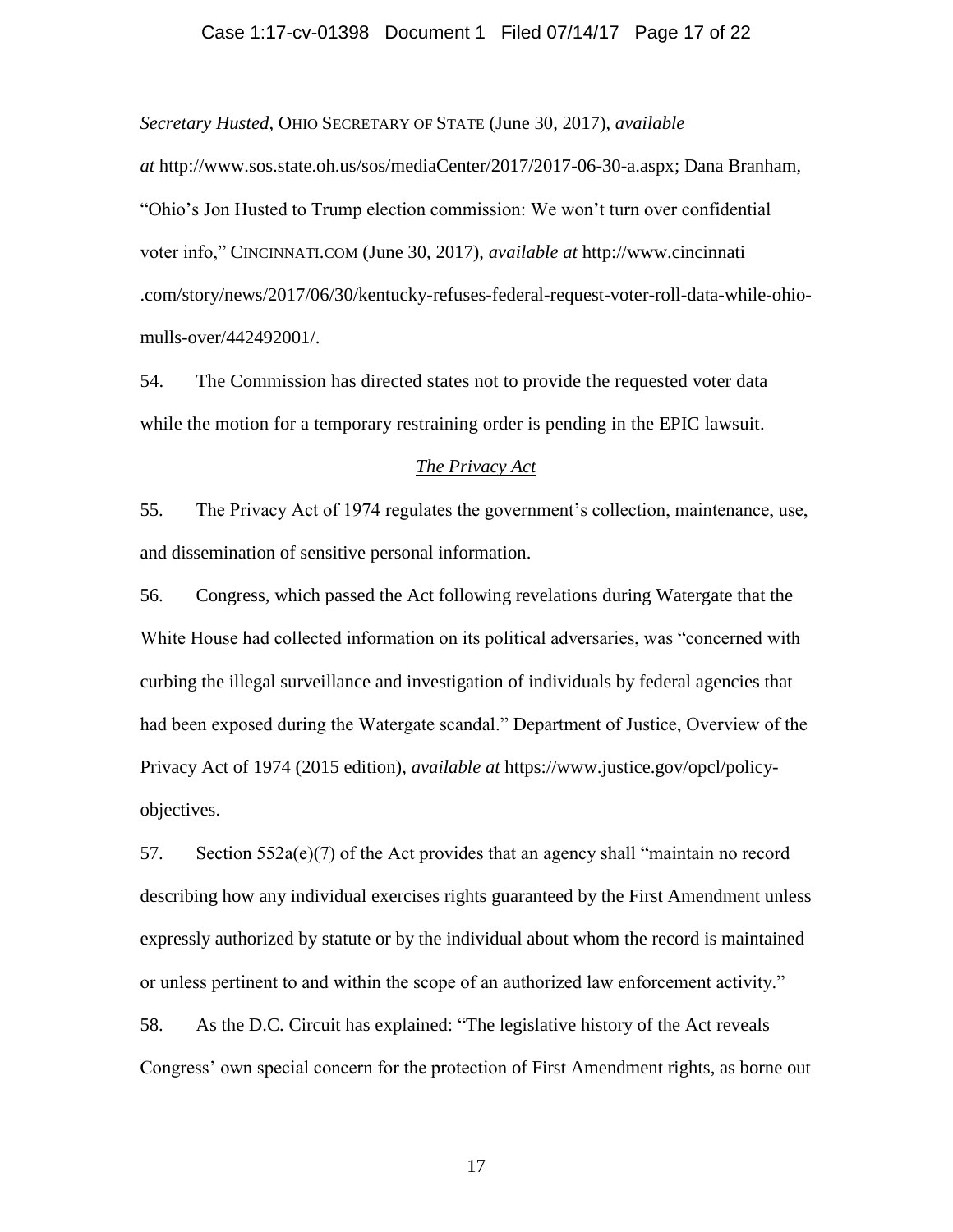## Case 1:17-cv-01398 Document 1 Filed 07/14/17 Page 17 of 22

*Secretary Husted*, OHIO SECRETARY OF STATE (June 30, 2017), *available* 

*at* http://www.sos.state.oh.us/sos/mediaCenter/2017/2017-06-30-a.aspx; Dana Branham, "Ohio's Jon Husted to Trump election commission: We won't turn over confidential voter info," CINCINNATI.COM (June 30, 2017), *available at* http://www.cincinnati .com/story/news/2017/06/30/kentucky-refuses-federal-request-voter-roll-data-while-ohiomulls-over/442492001/.

54. The Commission has directed states not to provide the requested voter data while the motion for a temporary restraining order is pending in the EPIC lawsuit.

#### *The Privacy Act*

55. The Privacy Act of 1974 regulates the government's collection, maintenance, use, and dissemination of sensitive personal information.

56. Congress, which passed the Act following revelations during Watergate that the White House had collected information on its political adversaries, was "concerned with curbing the illegal surveillance and investigation of individuals by federal agencies that had been exposed during the Watergate scandal." Department of Justice, Overview of the Privacy Act of 1974 (2015 edition), *available at* https://www.justice.gov/opcl/policyobjectives.

57. Section  $552a(e)(7)$  of the Act provides that an agency shall "maintain no record describing how any individual exercises rights guaranteed by the First Amendment unless expressly authorized by statute or by the individual about whom the record is maintained or unless pertinent to and within the scope of an authorized law enforcement activity."

58. As the D.C. Circuit has explained: "The legislative history of the Act reveals Congress' own special concern for the protection of First Amendment rights, as borne out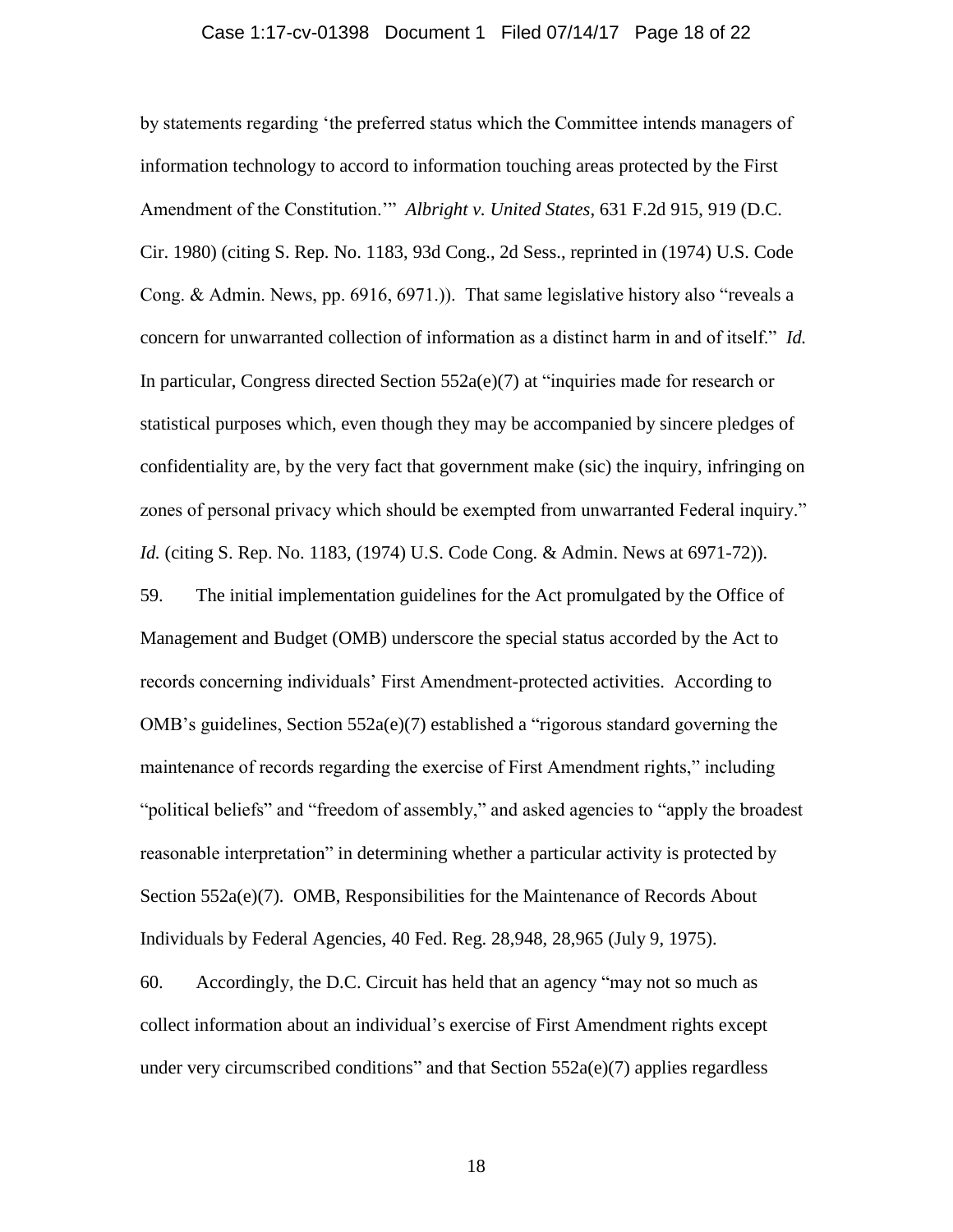## Case 1:17-cv-01398 Document 1 Filed 07/14/17 Page 18 of 22

by statements regarding 'the preferred status which the Committee intends managers of information technology to accord to information touching areas protected by the First Amendment of the Constitution.'" *Albright v. United States*, 631 F.2d 915, 919 (D.C. Cir. 1980) (citing S. Rep. No. 1183, 93d Cong., 2d Sess., reprinted in (1974) U.S. Code Cong. & Admin. News, pp. 6916, 6971.)). That same legislative history also "reveals a concern for unwarranted collection of information as a distinct harm in and of itself." *Id.* In particular, Congress directed Section  $552a(e)(7)$  at "inquiries made for research or statistical purposes which, even though they may be accompanied by sincere pledges of confidentiality are, by the very fact that government make (sic) the inquiry, infringing on zones of personal privacy which should be exempted from unwarranted Federal inquiry." *Id.* (citing S. Rep. No. 1183, (1974) U.S. Code Cong. & Admin. News at 6971-72)). 59. The initial implementation guidelines for the Act promulgated by the Office of Management and Budget (OMB) underscore the special status accorded by the Act to records concerning individuals' First Amendment-protected activities. According to OMB's guidelines, Section  $552a(e)(7)$  established a "rigorous standard governing the maintenance of records regarding the exercise of First Amendment rights," including "political beliefs" and "freedom of assembly," and asked agencies to "apply the broadest reasonable interpretation" in determining whether a particular activity is protected by Section 552a(e)(7). OMB, Responsibilities for the Maintenance of Records About

Individuals by Federal Agencies, 40 Fed. Reg. 28,948, 28,965 (July 9, 1975).

60. Accordingly, the D.C. Circuit has held that an agency "may not so much as collect information about an individual's exercise of First Amendment rights except under very circumscribed conditions" and that Section  $552a(e)(7)$  applies regardless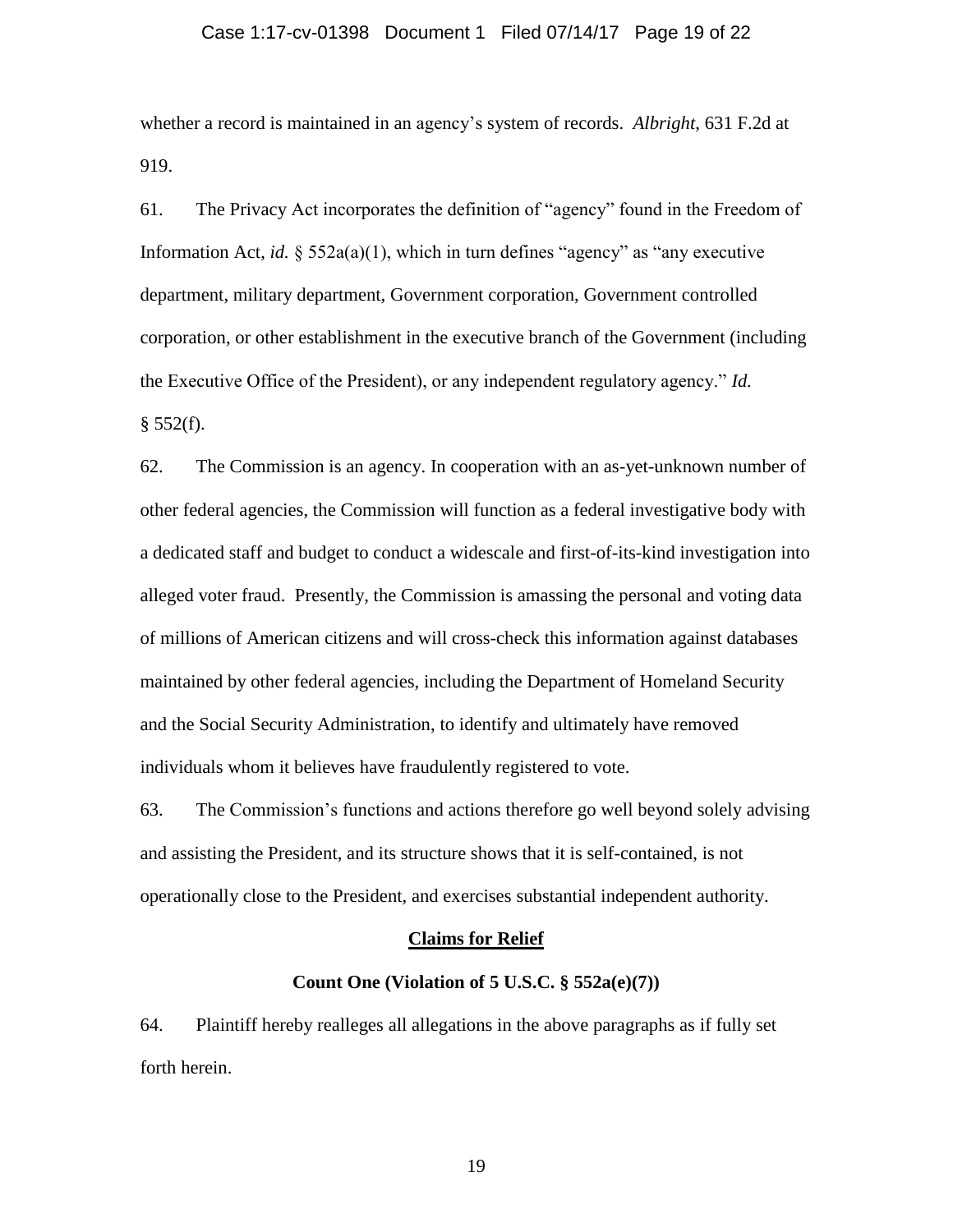## Case 1:17-cv-01398 Document 1 Filed 07/14/17 Page 19 of 22

whether a record is maintained in an agency's system of records. *Albright*, 631 F.2d at 919.

61. The Privacy Act incorporates the definition of "agency" found in the Freedom of Information Act, *id.* § 552a(a)(1), which in turn defines "agency" as "any executive department, military department, Government corporation, Government controlled corporation, or other establishment in the executive branch of the Government (including the Executive Office of the President), or any independent regulatory agency." *Id.*  $§$  552(f).

62. The Commission is an agency. In cooperation with an as-yet-unknown number of other federal agencies, the Commission will function as a federal investigative body with a dedicated staff and budget to conduct a widescale and first-of-its-kind investigation into alleged voter fraud. Presently, the Commission is amassing the personal and voting data of millions of American citizens and will cross-check this information against databases maintained by other federal agencies, including the Department of Homeland Security and the Social Security Administration, to identify and ultimately have removed individuals whom it believes have fraudulently registered to vote.

63. The Commission's functions and actions therefore go well beyond solely advising and assisting the President, and its structure shows that it is self-contained, is not operationally close to the President, and exercises substantial independent authority.

#### **Claims for Relief**

#### **Count One (Violation of 5 U.S.C. § 552a(e)(7))**

64. Plaintiff hereby realleges all allegations in the above paragraphs as if fully set forth herein.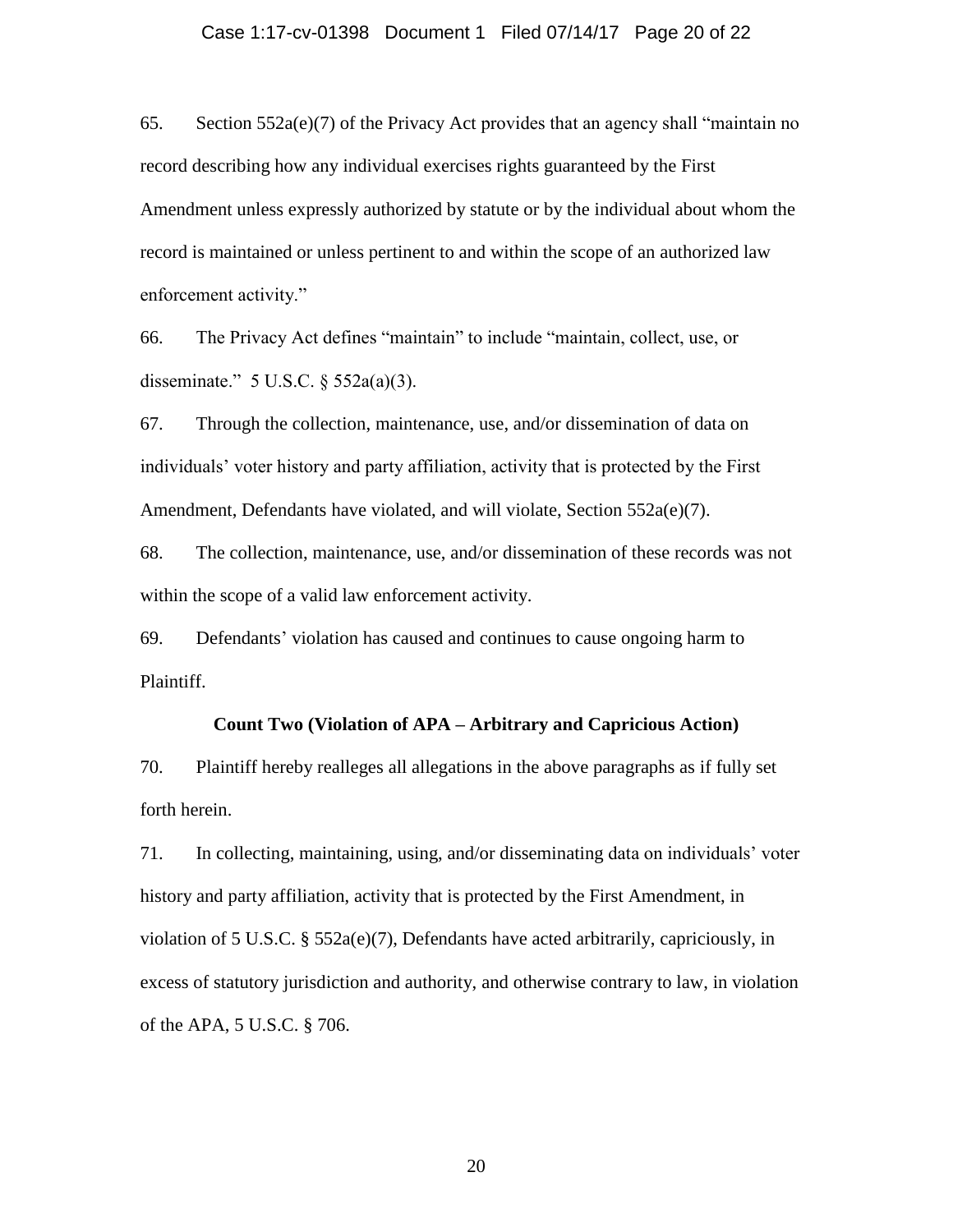## Case 1:17-cv-01398 Document 1 Filed 07/14/17 Page 20 of 22

65. Section 552a(e)(7) of the Privacy Act provides that an agency shall "maintain no record describing how any individual exercises rights guaranteed by the First Amendment unless expressly authorized by statute or by the individual about whom the record is maintained or unless pertinent to and within the scope of an authorized law enforcement activity."

66. The Privacy Act defines "maintain" to include "maintain, collect, use, or disseminate." 5 U.S.C. § 552a(a)(3).

67. Through the collection, maintenance, use, and/or dissemination of data on individuals' voter history and party affiliation, activity that is protected by the First Amendment, Defendants have violated, and will violate, Section 552a(e)(7).

68. The collection, maintenance, use, and/or dissemination of these records was not within the scope of a valid law enforcement activity.

69. Defendants' violation has caused and continues to cause ongoing harm to Plaintiff.

## **Count Two (Violation of APA – Arbitrary and Capricious Action)**

70. Plaintiff hereby realleges all allegations in the above paragraphs as if fully set forth herein.

71. In collecting, maintaining, using, and/or disseminating data on individuals' voter history and party affiliation, activity that is protected by the First Amendment, in violation of 5 U.S.C.  $\S$  552a(e)(7), Defendants have acted arbitrarily, capriciously, in excess of statutory jurisdiction and authority, and otherwise contrary to law, in violation of the APA, 5 U.S.C. § 706.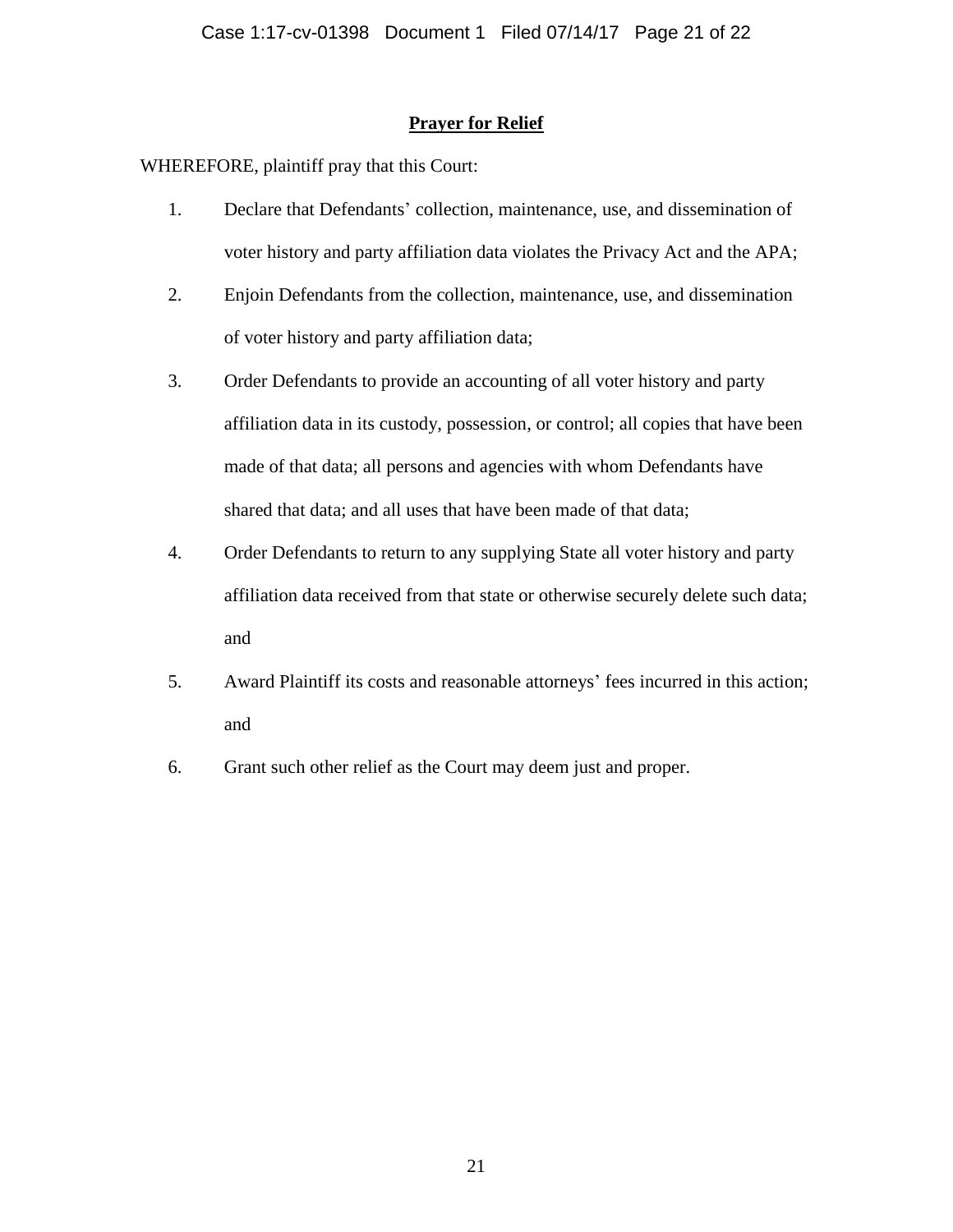## **Prayer for Relief**

WHEREFORE, plaintiff pray that this Court:

- 1. Declare that Defendants' collection, maintenance, use, and dissemination of voter history and party affiliation data violates the Privacy Act and the APA;
- 2. Enjoin Defendants from the collection, maintenance, use, and dissemination of voter history and party affiliation data;
- 3. Order Defendants to provide an accounting of all voter history and party affiliation data in its custody, possession, or control; all copies that have been made of that data; all persons and agencies with whom Defendants have shared that data; and all uses that have been made of that data;
- 4. Order Defendants to return to any supplying State all voter history and party affiliation data received from that state or otherwise securely delete such data; and
- 5. Award Plaintiff its costs and reasonable attorneys' fees incurred in this action; and
- 6. Grant such other relief as the Court may deem just and proper.